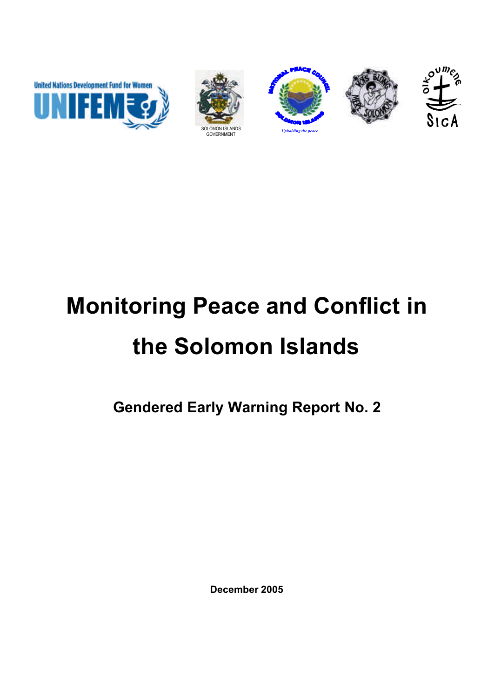







# **Monitoring Peace and Conflict in the Solomon Islands**

**Gendered Early Warning Report No. 2**

**December 2005**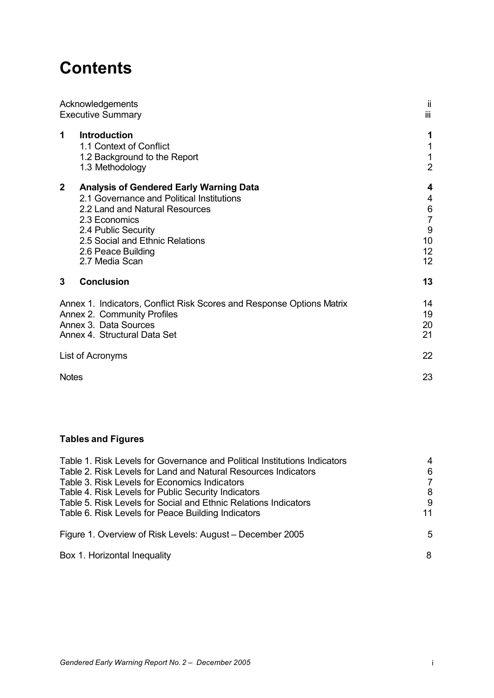# **Contents**

| Acknowledgements<br><b>Executive Summary</b>                                                                                                                                                                                                                     | ji<br>iii                                                                                |
|------------------------------------------------------------------------------------------------------------------------------------------------------------------------------------------------------------------------------------------------------------------|------------------------------------------------------------------------------------------|
| <b>Introduction</b><br>1<br>1.1 Context of Conflict<br>1.2 Background to the Report<br>1.3 Methodology                                                                                                                                                           | 1<br>1<br>1<br>$\overline{2}$                                                            |
| $\mathbf{2}$<br><b>Analysis of Gendered Early Warning Data</b><br>2.1 Governance and Political Institutions<br>2.2 Land and Natural Resources<br>2.3 Economics<br>2.4 Public Security<br>2.5 Social and Ethnic Relations<br>2.6 Peace Building<br>2.7 Media Scan | $\overline{\mathbf{4}}$<br>4<br>$6\phantom{1}6$<br>$\overline{7}$<br>9<br>10<br>12<br>12 |
| 3<br><b>Conclusion</b>                                                                                                                                                                                                                                           | 13                                                                                       |
| Annex 1. Indicators, Conflict Risk Scores and Response Options Matrix<br>Annex 2. Community Profiles<br>Annex 3. Data Sources<br>Annex 4. Structural Data Set                                                                                                    | 14<br>19<br>20<br>21                                                                     |
| List of Acronyms                                                                                                                                                                                                                                                 | 22                                                                                       |
| <b>Notes</b>                                                                                                                                                                                                                                                     | 23                                                                                       |

# **Tables and Figures**

| Table 1. Risk Levels for Governance and Political Institutions Indicators | 4  |
|---------------------------------------------------------------------------|----|
| Table 2. Risk Levels for Land and Natural Resources Indicators            | 6  |
| Table 3. Risk Levels for Economics Indicators                             | 7  |
| Table 4. Risk Levels for Public Security Indicators                       | 8  |
| Table 5. Risk Levels for Social and Ethnic Relations Indicators           | 9  |
| Table 6. Risk Levels for Peace Building Indicators                        | 11 |
| Figure 1. Overview of Risk Levels: August - December 2005                 | 5  |
| Box 1. Horizontal Inequality                                              | 8  |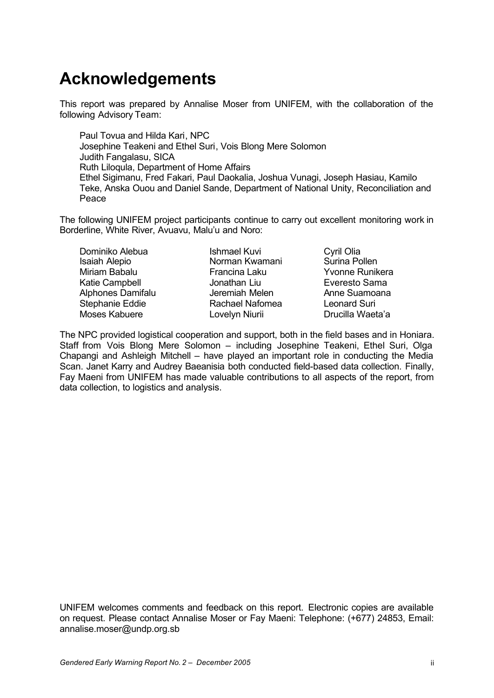# **Acknowledgements**

This report was prepared by Annalise Moser from UNIFEM, with the collaboration of the following Advisory Team:

Paul Tovua and Hilda Kari, NPC Josephine Teakeni and Ethel Suri, Vois Blong Mere Solomon Judith Fangalasu, SICA Ruth Liloqula, Department of Home Affairs Ethel Sigimanu, Fred Fakari, Paul Daokalia, Joshua Vunagi, Joseph Hasiau, Kamilo Teke, Anska Ouou and Daniel Sande, Department of National Unity, Reconciliation and Peace

The following UNIFEM project participants continue to carry out excellent monitoring work in Borderline, White River, Avuavu, Malu'u and Noro:

Dominiko Alebua Isaiah Alepio Miriam Babalu Katie Campbell Alphones Damifalu Stephanie Eddie Moses Kabuere

Ishmael Kuvi Norman Kwamani Francina Laku Jonathan Liu Jeremiah Melen Rachael Nafomea Lovelyn Niurii

Cyril Olia Surina Pollen Yvonne Runikera Everesto Sama Anne Suamoana Leonard Suri Drucilla Waeta'a

The NPC provided logistical cooperation and support, both in the field bases and in Honiara. Staff from Vois Blong Mere Solomon – including Josephine Teakeni, Ethel Suri, Olga Chapangi and Ashleigh Mitchell – have played an important role in conducting the Media Scan. Janet Karry and Audrey Baeanisia both conducted field-based data collection. Finally, Fay Maeni from UNIFEM has made valuable contributions to all aspects of the report, from data collection, to logistics and analysis.

UNIFEM welcomes comments and feedback on this report. Electronic copies are available on request. Please contact Annalise Moser or Fay Maeni: Telephone: (+677) 24853, Email: annalise.moser@undp.org.sb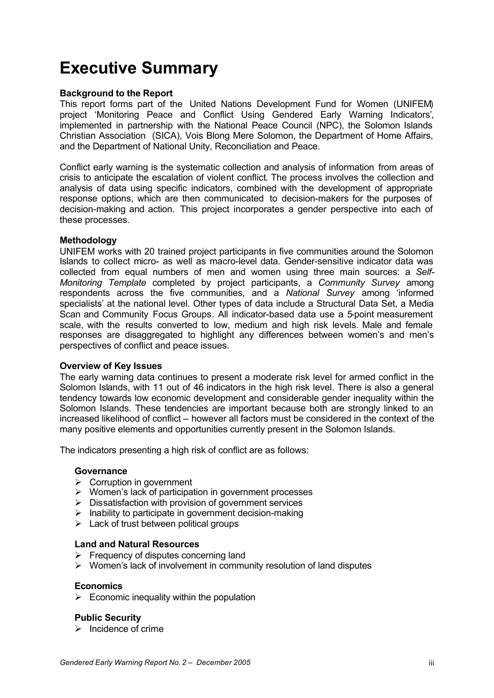# **Executive Summary**

#### **Background to the Report**

This report forms part of the United Nations Development Fund for Women (UNIFEM) project 'Monitoring Peace and Conflict Using Gendered Early Warning Indicators', implemented in partnership with the National Peace Council (NPC), the Solomon Islands Christian Association (SICA), Vois Blong Mere Solomon, the Department of Home Affairs, and the Department of National Unity, Reconciliation and Peace.

Conflict early warning is the systematic collection and analysis of information from areas of crisis to anticipate the escalation of violent conflict. The process involves the collection and analysis of data using specific indicators, combined with the development of appropriate response options, which are then communicated to decision-makers for the purposes of decision-making and action. This project incorporates a gender perspective into each of these processes.

#### **Methodology**

UNIFEM works with 20 trained project participants in five communities around the Solomon Islands to collect micro- as well as macro-level data. Gender-sensitive indicator data was collected from equal numbers of men and women using three main sources: a *Self-Monitoring Template* completed by project participants, a *Community Survey* among respondents across the five communities, and a *National Survey* among 'informed specialists' at the national level. Other types of data include a Structural Data Set, a Media Scan and Community Focus Groups. All indicator-based data use a 5-point measurement scale, with the results converted to low, medium and high risk levels. Male and female responses are disaggregated to highlight any differences between women's and men's perspectives of conflict and peace issues.

#### **Overview of Key Issues**

The early warning data continues to present a moderate risk level for armed conflict in the Solomon Islands, with 11 out of 46 indicators in the high risk level. There is also a general tendency towards low economic development and considerable gender inequality within the Solomon Islands. These tendencies are important because both are strongly linked to an increased likelihood of conflict – however all factors must be considered in the context of the many positive elements and opportunities currently present in the Solomon Islands.

The indicators presenting a high risk of conflict are as follows:

#### **Governance**

- $\triangleright$  Corruption in government
- $\triangleright$  Women's lack of participation in government processes
- $\triangleright$  Dissatisfaction with provision of government services
- $\triangleright$  Inability to participate in government decision-making
- $\geq$  Lack of trust between political groups

#### **Land and Natural Resources**

- $\triangleright$  Frequency of disputes concerning land
- $\triangleright$  Women's lack of involvement in community resolution of land disputes

#### **Economics**

 $\triangleright$  Economic inequality within the population

#### **Public Security**

 $\triangleright$  Incidence of crime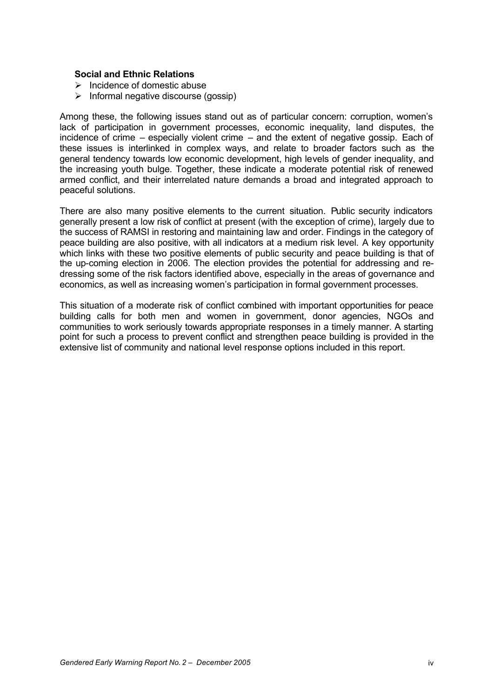#### **Social and Ethnic Relations**

- $\triangleright$  Incidence of domestic abuse
- $\triangleright$  Informal negative discourse (gossip)

Among these, the following issues stand out as of particular concern: corruption, women's lack of participation in government processes, economic inequality, land disputes, the incidence of crime – especially violent crime – and the extent of negative gossip. Each of these issues is interlinked in complex ways, and relate to broader factors such as the general tendency towards low economic development, high levels of gender inequality, and the increasing youth bulge. Together, these indicate a moderate potential risk of renewed armed conflict, and their interrelated nature demands a broad and integrated approach to peaceful solutions.

There are also many positive elements to the current situation. Public security indicators generally present a low risk of conflict at present (with the exception of crime), largely due to the success of RAMSI in restoring and maintaining law and order. Findings in the category of peace building are also positive, with all indicators at a medium risk level. A key opportunity which links with these two positive elements of public security and peace building is that of the up-coming election in 2006. The election provides the potential for addressing and redressing some of the risk factors identified above, especially in the areas of governance and economics, as well as increasing women's participation in formal government processes.

This situation of a moderate risk of conflict combined with important opportunities for peace building calls for both men and women in government, donor agencies, NGOs and communities to work seriously towards appropriate responses in a timely manner. A starting point for such a process to prevent conflict and strengthen peace building is provided in the extensive list of community and national level response options included in this report.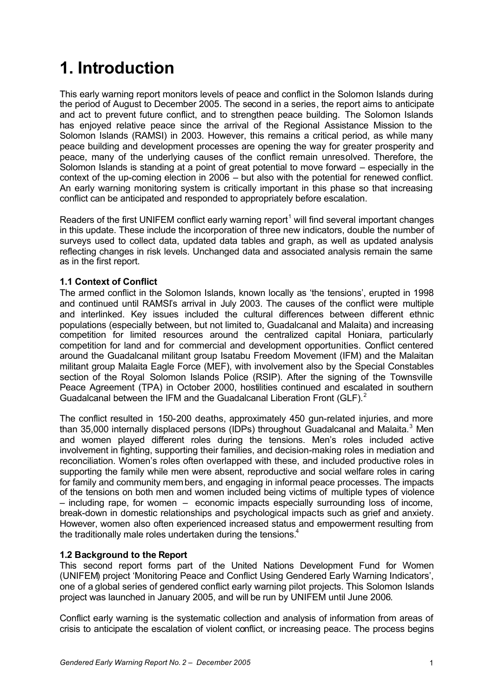# **1. Introduction**

This early warning report monitors levels of peace and conflict in the Solomon Islands during the period of August to December 2005. The second in a series, the report aims to anticipate and act to prevent future conflict, and to strengthen peace building. The Solomon Islands has enjoyed relative peace since the arrival of the Regional Assistance Mission to the Solomon Islands (RAMSI) in 2003. However, this remains a critical period, as while many peace building and development processes are opening the way for greater prosperity and peace, many of the underlying causes of the conflict remain unresolved. Therefore, the Solomon Islands is standing at a point of great potential to move forward – especially in the context of the up-coming election in 2006 – but also with the potential for renewed conflict. An early warning monitoring system is critically important in this phase so that increasing conflict can be anticipated and responded to appropriately before escalation.

Readers of the first UNIFEM conflict early warning report<sup>1</sup> will find several important changes in this update. These include the incorporation of three new indicators, double the number of surveys used to collect data, updated data tables and graph, as well as updated analysis reflecting changes in risk levels. Unchanged data and associated analysis remain the same as in the first report.

#### **1.1 Context of Conflict**

The armed conflict in the Solomon Islands, known locally as 'the tensions', erupted in 1998 and continued until RAMSI's arrival in July 2003. The causes of the conflict were multiple and interlinked. Key issues included the cultural differences between different ethnic populations (especially between, but not limited to, Guadalcanal and Malaita) and increasing competition for limited resources around the centralized capital Honiara, particularly competition for land and for commercial and development opportunities. Conflict centered around the Guadalcanal militant group Isatabu Freedom Movement (IFM) and the Malaitan militant group Malaita Eagle Force (MEF), with involvement also by the Special Constables section of the Royal Solomon Islands Police (RSIP). After the signing of the Townsville Peace Agreement (TPA) in October 2000, hostilities continued and escalated in southern Guadalcanal between the IFM and the Guadalcanal Liberation Front (GLF).<sup>2</sup>

The conflict resulted in 150-200 deaths, approximately 450 gun-related injuries, and more than 35,000 internally displaced persons (IDPs) throughout Guadalcanal and Malaita.<sup>3</sup> Men and women played different roles during the tensions. Men's roles included active involvement in fighting, supporting their families, and decision-making roles in mediation and reconciliation. Women's roles often overlapped with these, and included productive roles in supporting the family while men were absent, reproductive and social welfare roles in caring for family and community members, and engaging in informal peace processes. The impacts of the tensions on both men and women included being victims of multiple types of violence – including rape, for women – economic impacts especially surrounding loss of income, break-down in domestic relationships and psychological impacts such as grief and anxiety. However, women also often experienced increased status and empowerment resulting from the traditionally male roles undertaken during the tensions. $4$ 

#### **1.2 Background to the Report**

This second report forms part of the United Nations Development Fund for Women (UNIFEM) project 'Monitoring Peace and Conflict Using Gendered Early Warning Indicators', one of a global series of gendered conflict early warning pilot projects. This Solomon Islands project was launched in January 2005, and will be run by UNIFEM until June 2006.

Conflict early warning is the systematic collection and analysis of information from areas of crisis to anticipate the escalation of violent conflict, or increasing peace. The process begins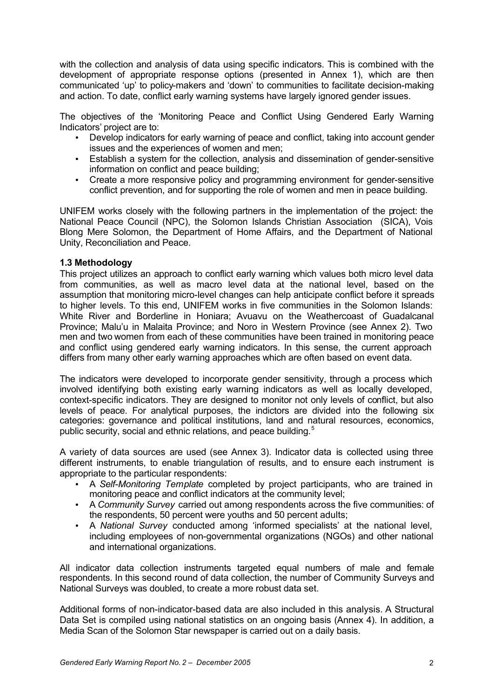with the collection and analysis of data using specific indicators. This is combined with the development of appropriate response options (presented in Annex 1), which are then communicated 'up' to policy-makers and 'down' to communities to facilitate decision-making and action. To date, conflict early warning systems have largely ignored gender issues.

The objectives of the 'Monitoring Peace and Conflict Using Gendered Early Warning Indicators' project are to:

- Develop indicators for early warning of peace and conflict, taking into account gender issues and the experiences of women and men;
- Establish a system for the collection, analysis and dissemination of gender-sensitive information on conflict and peace building;
- Create a more responsive policy and programming environment for gender-sensitive conflict prevention, and for supporting the role of women and men in peace building.

UNIFEM works closely with the following partners in the implementation of the project: the National Peace Council (NPC), the Solomon Islands Christian Association (SICA), Vois Blong Mere Solomon, the Department of Home Affairs, and the Department of National Unity, Reconciliation and Peace.

#### **1.3 Methodology**

This project utilizes an approach to conflict early warning which values both micro level data from communities, as well as macro level data at the national level, based on the assumption that monitoring micro-level changes can help anticipate conflict before it spreads to higher levels. To this end, UNIFEM works in five communities in the Solomon Islands: White River and Borderline in Honiara; Avuavu on the Weathercoast of Guadalcanal Province; Malu'u in Malaita Province; and Noro in Western Province (see Annex 2). Two men and two women from each of these communities have been trained in monitoring peace and conflict using gendered early warning indicators. In this sense, the current approach differs from many other early warning approaches which are often based on event data.

The indicators were developed to incorporate gender sensitivity, through a process which involved identifying both existing early warning indicators as well as locally developed, context-specific indicators. They are designed to monitor not only levels of conflict, but also levels of peace. For analytical purposes, the indictors are divided into the following six categories: governance and political institutions, land and natural resources, economics, public security, social and ethnic relations, and peace building.<sup>5</sup>

A variety of data sources are used (see Annex 3). Indicator data is collected using three different instruments, to enable triangulation of results, and to ensure each instrument is appropriate to the particular respondents:

- A *Self-Monitoring Template* completed by project participants, who are trained in monitoring peace and conflict indicators at the community level;
- A *Community Survey* carried out among respondents across the five communities: of the respondents, 50 percent were youths and 50 percent adults;
- A *National Survey* conducted among 'informed specialists' at the national level, including employees of non-governmental organizations (NGOs) and other national and international organizations.

All indicator data collection instruments targeted equal numbers of male and female respondents. In this second round of data collection, the number of Community Surveys and National Surveys was doubled, to create a more robust data set.

Additional forms of non-indicator-based data are also included in this analysis. A Structural Data Set is compiled using national statistics on an ongoing basis (Annex 4). In addition, a Media Scan of the Solomon Star newspaper is carried out on a daily basis.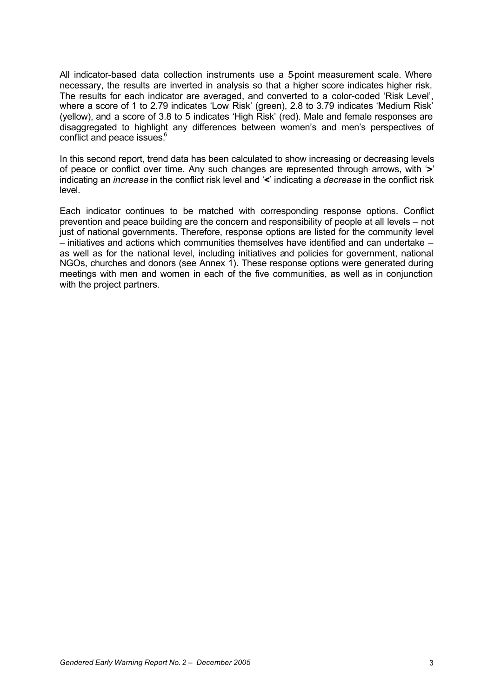All indicator-based data collection instruments use a 5-point measurement scale. Where necessary, the results are inverted in analysis so that a higher score indicates higher risk. The results for each indicator are averaged, and converted to a color-coded 'Risk Level', where a score of 1 to 2.79 indicates 'Low Risk' (green), 2.8 to 3.79 indicates 'Medium Risk' (yellow), and a score of 3.8 to 5 indicates 'High Risk' (red). Male and female responses are disaggregated to highlight any differences between women's and men's perspectives of conflict and peace issues.<sup>6</sup>

In this second report, trend data has been calculated to show increasing or decreasing levels of peace or conflict over time. Any such changes are represented through arrows, with  $\mathbf{r}$ indicating an *increase* in the conflict risk level and '<' indicating a *decrease* in the conflict risk level.

Each indicator continues to be matched with corresponding response options. Conflict prevention and peace building are the concern and responsibility of people at all levels – not just of national governments. Therefore, response options are listed for the community level – initiatives and actions which communities themselves have identified and can undertake – as well as for the national level, including initiatives and policies for government, national NGOs, churches and donors (see Annex 1). These response options were generated during meetings with men and women in each of the five communities, as well as in conjunction with the project partners.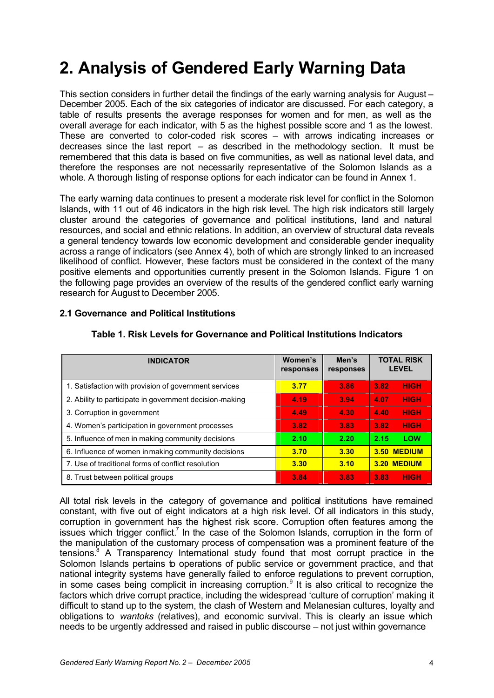# **2. Analysis of Gendered Early Warning Data**

This section considers in further detail the findings of the early warning analysis for August – December 2005. Each of the six categories of indicator are discussed. For each category, a table of results presents the average responses for women and for men, as well as the overall average for each indicator, with 5 as the highest possible score and 1 as the lowest. These are converted to color-coded risk scores – with arrows indicating increases or decreases since the last report  $-$  as described in the methodology section. It must be remembered that this data is based on five communities, as well as national level data, and therefore the responses are not necessarily representative of the Solomon Islands as a whole. A thorough listing of response options for each indicator can be found in Annex 1.

The early warning data continues to present a moderate risk level for conflict in the Solomon Islands, with 11 out of 46 indicators in the high risk level. The high risk indicators still largely cluster around the categories of governance and political institutions, land and natural resources, and social and ethnic relations. In addition, an overview of structural data reveals a general tendency towards low economic development and considerable gender inequality across a range of indicators (see Annex 4), both of which are strongly linked to an increased likelihood of conflict. However, these factors must be considered in the context of the many positive elements and opportunities currently present in the Solomon Islands. Figure 1 on the following page provides an overview of the results of the gendered conflict early warning research for August to December 2005.

| <b>INDICATOR</b>                                        | Women's<br>responses | Men's<br>responses | <b>TOTAL RISK</b><br><b>LEVEL</b> |
|---------------------------------------------------------|----------------------|--------------------|-----------------------------------|
| 1. Satisfaction with provision of government services   | 3.77                 | 3.86               | <b>HIGH</b><br>3.82               |
| 2. Ability to participate in government decision-making | 4.19                 | 3.94               | <b>HIGH</b><br>4.07               |
| 3. Corruption in government                             | 4.49                 | 4.30               | <b>HIGH</b><br>4.40               |
| 4. Women's participation in government processes        | 3.82                 | 3.83               | <b>HIGH</b><br>3.82               |
| 5. Influence of men in making community decisions       | 2.10                 | 2.20               | LOW<br>2.15                       |
| 6. Influence of women in making community decisions     | 3.70                 | 3.30               | 3.50 MEDIUM                       |
| 7. Use of traditional forms of conflict resolution      | 3.30                 | 3.10               | 3.20 MEDIUM                       |
| 8. Trust between political groups                       | 3.84                 | 3.83               | <b>HIGH</b><br>3.83               |

#### **2.1 Governance and Political Institutions**

### **Table 1. Risk Levels for Governance and Political Institutions Indicators**

All total risk levels in the category of governance and political institutions have remained constant, with five out of eight indicators at a high risk level. Of all indicators in this study, corruption in government has the highest risk score. Corruption often features among the issues which trigger conflict.<sup>7</sup> In the case of the Solomon Islands, corruption in the form of the manipulation of the customary process of compensation was a prominent feature of the tensions.<sup>8</sup> A Transparency International study found that most corrupt practice in the Solomon Islands pertains to operations of public service or government practice, and that national integrity systems have generally failed to enforce regulations to prevent corruption, in some cases being complicit in increasing corruption.<sup>9</sup> It is also critical to recognize the factors which drive corrupt practice, including the widespread 'culture of corruption' making it difficult to stand up to the system, the clash of Western and Melanesian cultures, loyalty and obligations to *wantoks* (relatives), and economic survival. This is clearly an issue which needs to be urgently addressed and raised in public discourse – not just within governance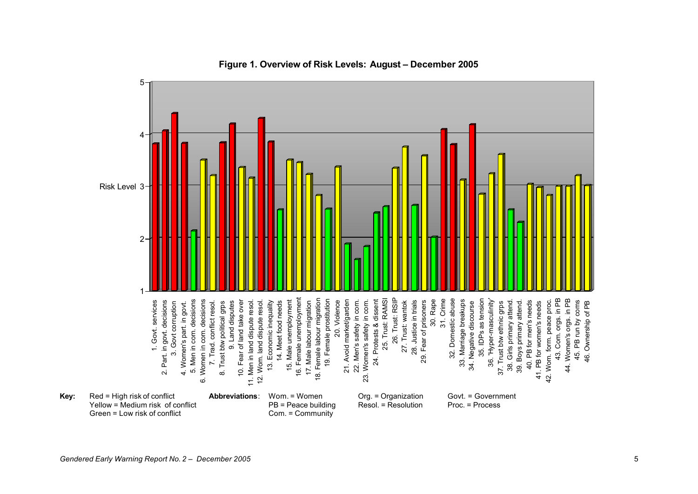

**Figure 1. Overview of Risk Levels: August – December 2005**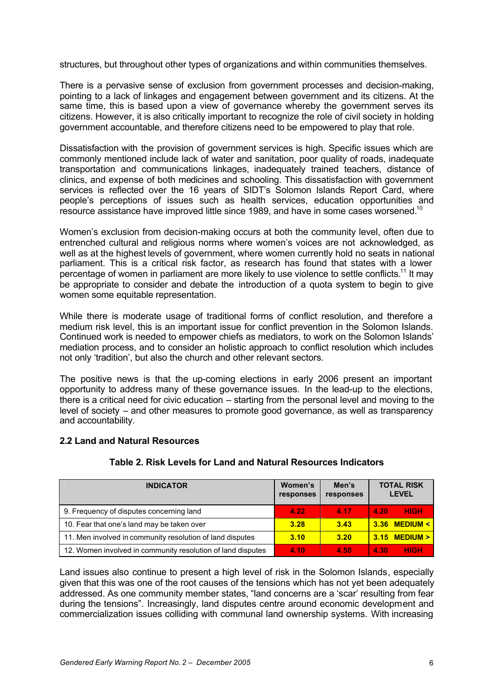structures, but throughout other types of organizations and within communities themselves.

There is a pervasive sense of exclusion from government processes and decision-making, pointing to a lack of linkages and engagement between government and its citizens. At the same time, this is based upon a view of governance whereby the government serves its citizens. However, it is also critically important to recognize the role of civil society in holding government accountable, and therefore citizens need to be empowered to play that role.

Dissatisfaction with the provision of government services is high. Specific issues which are commonly mentioned include lack of water and sanitation, poor quality of roads, inadequate transportation and communications linkages, inadequately trained teachers, distance of clinics, and expense of both medicines and schooling. This dissatisfaction with government services is reflected over the 16 years of SIDT's Solomon Islands Report Card, where people's perceptions of issues such as health services, education opportunities and resource assistance have improved little since 1989, and have in some cases worsened.<sup>10</sup>

Women's exclusion from decision-making occurs at both the community level, often due to entrenched cultural and religious norms where women's voices are not acknowledged, as well as at the highest levels of government, where women currently hold no seats in national parliament. This is a critical risk factor, as research has found that states with a lower percentage of women in parliament are more likely to use violence to settle conflicts.<sup>11</sup> It may be appropriate to consider and debate the introduction of a quota system to begin to give women some equitable representation.

While there is moderate usage of traditional forms of conflict resolution, and therefore a medium risk level, this is an important issue for conflict prevention in the Solomon Islands. Continued work is needed to empower chiefs as mediators, to work on the Solomon Islands' mediation process, and to consider an holistic approach to conflict resolution which includes not only 'tradition', but also the church and other relevant sectors.

The positive news is that the up-coming elections in early 2006 present an important opportunity to address many of these governance issues. In the lead-up to the elections, there is a critical need for civic education – starting from the personal level and moving to the level of society – and other measures to promote good governance, as well as transparency and accountability.

#### **2.2 Land and Natural Resources**

| <b>INDICATOR</b>                                            | Women's<br>responses | Men's<br>responses | <b>TOTAL RISK</b><br><b>LEVEL</b> |
|-------------------------------------------------------------|----------------------|--------------------|-----------------------------------|
| 9. Frequency of disputes concerning land                    | 4.22                 | 4.17               | <b>HIGH</b><br>4.20               |
| 10. Fear that one's land may be taken over                  | 3.28                 | 3.43               | $3.36$ MEDIUM <                   |
| 11. Men involved in community resolution of land disputes   | 3.10                 | 3.20               | $3.15$ MEDIUM $>$                 |
| 12. Women involved in community resolution of land disputes | 4.10                 | 4.50               | <b>HIGH</b><br>4.30               |

#### **Table 2. Risk Levels for Land and Natural Resources Indicators**

Land issues also continue to present a high level of risk in the Solomon Islands, especially given that this was one of the root causes of the tensions which has not yet been adequately addressed. As one community member states, "land concerns are a 'scar' resulting from fear during the tensions". Increasingly, land disputes centre around economic development and commercialization issues colliding with communal land ownership systems. With increasing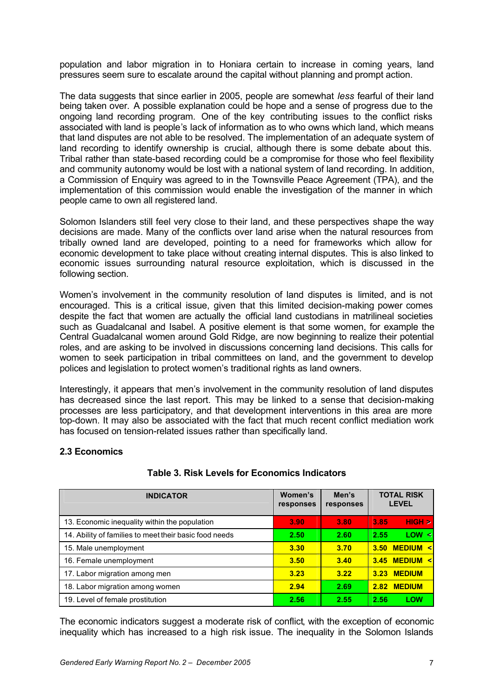population and labor migration in to Honiara certain to increase in coming years, land pressures seem sure to escalate around the capital without planning and prompt action.

The data suggests that since earlier in 2005, people are somewhat *less* fearful of their land being taken over. A possible explanation could be hope and a sense of progress due to the ongoing land recording program. One of the key contributing issues to the conflict risks associated with land is people's lack of information as to who owns which land, which means that land disputes are not able to be resolved. The implementation of an adequate system of land recording to identify ownership is crucial, although there is some debate about this. Tribal rather than state-based recording could be a compromise for those who feel flexibility and community autonomy would be lost with a national system of land recording. In addition, a Commission of Enquiry was agreed to in the Townsville Peace Agreement (TPA), and the implementation of this commission would enable the investigation of the manner in which people came to own all registered land.

Solomon Islanders still feel very close to their land, and these perspectives shape the way decisions are made. Many of the conflicts over land arise when the natural resources from tribally owned land are developed, pointing to a need for frameworks which allow for economic development to take place without creating internal disputes. This is also linked to economic issues surrounding natural resource exploitation, which is discussed in the following section.

Women's involvement in the community resolution of land disputes is limited, and is not encouraged. This is a critical issue, given that this limited decision-making power comes despite the fact that women are actually the official land custodians in matrilineal societies such as Guadalcanal and Isabel. A positive element is that some women, for example the Central Guadalcanal women around Gold Ridge, are now beginning to realize their potential roles, and are asking to be involved in discussions concerning land decisions. This calls for women to seek participation in tribal committees on land, and the government to develop polices and legislation to protect women's traditional rights as land owners.

Interestingly, it appears that men's involvement in the community resolution of land disputes has decreased since the last report. This may be linked to a sense that decision-making processes are less participatory, and that development interventions in this area are more top-down. It may also be associated with the fact that much recent conflict mediation work has focused on tension-related issues rather than specifically land.

#### **2.3 Economics**

| <b>INDICATOR</b>                                       | Women's<br>responses | Men's<br>responses | <b>TOTAL RISK</b><br><b>LEVEL</b> |  |
|--------------------------------------------------------|----------------------|--------------------|-----------------------------------|--|
| 13. Economic inequality within the population          | 3.90                 | 3.80               | HIGH<br>3.85                      |  |
| 14. Ability of families to meet their basic food needs | 2.50                 | 2.60               | LOW <<br>2.55                     |  |
| 15. Male unemployment                                  | 3.30                 | 3.70               | <b>MEDIUM &lt;</b><br>3.50        |  |
| 16. Female unemployment                                | 3.50                 | 3.40               | <b>MEDIUM &lt;</b><br>3.45        |  |
| 17. Labor migration among men                          | 3.23                 | 3.22               | <b>MEDIUM</b><br>3.23             |  |
| 18. Labor migration among women                        | 2.94                 | 2.69               | <b>MEDIUM</b><br>2.82             |  |
| 19. Level of female prostitution                       | 2.56                 | 2.55               | <b>LOW</b><br>2.56                |  |

### **Table 3. Risk Levels for Economics Indicators**

The economic indicators suggest a moderate risk of conflict, with the exception of economic inequality which has increased to a high risk issue. The inequality in the Solomon Islands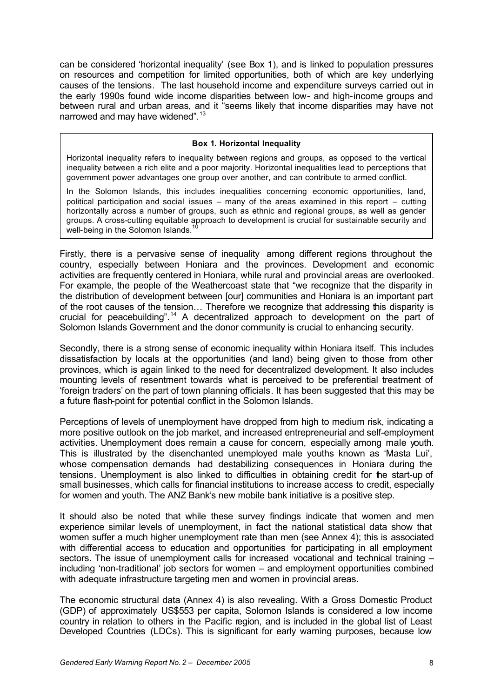can be considered 'horizontal inequality' (see Box 1), and is linked to population pressures on resources and competition for limited opportunities, both of which are key underlying causes of the tensions. The last household income and expenditure surveys carried out in the early 1990s found wide income disparities between low- and high-income groups and between rural and urban areas, and it "seems likely that income disparities may have not narrowed and may have widened".<sup>13</sup>

#### **Box 1. Horizontal Inequality**

Horizontal inequality refers to inequality between regions and groups, as opposed to the vertical inequality between a rich elite and a poor majority. Horizontal inequalities lead to perceptions that government power advantages one group over another, and can contribute to armed conflict.

In the Solomon Islands, this includes inequalities concerning economic opportunities, land, political participation and social issues – many of the areas examined in this report – cutting horizontally across a number of groups, such as ethnic and regional groups, as well as gender groups. A cross-cutting equitable approach to development is crucial for sustainable security and well-being in the Solomon Islands.

Firstly, there is a pervasive sense of inequality among different regions throughout the country, especially between Honiara and the provinces. Development and economic activities are frequently centered in Honiara, while rural and provincial areas are overlooked. For example, the people of the Weathercoast state that "we recognize that the disparity in the distribution of development between [our] communities and Honiara is an important part of the root causes of the tension… Therefore we recognize that addressing this disparity is crucial for peacebuilding".<sup>14</sup> A decentralized approach to development on the part of Solomon Islands Government and the donor community is crucial to enhancing security.

Secondly, there is a strong sense of economic inequality within Honiara itself. This includes dissatisfaction by locals at the opportunities (and land) being given to those from other provinces, which is again linked to the need for decentralized development. It also includes mounting levels of resentment towards what is perceived to be preferential treatment of 'foreign traders' on the part of town planning officials. It has been suggested that this may be a future flash-point for potential conflict in the Solomon Islands.

Perceptions of levels of unemployment have dropped from high to medium risk, indicating a more positive outlook on the job market, and increased entrepreneurial and self-employment activities. Unemployment does remain a cause for concern, especially among male youth. This is illustrated by the disenchanted unemployed male youths known as 'Masta Lui', whose compensation demands had destabilizing consequences in Honiara during the tensions. Unemployment is also linked to difficulties in obtaining credit for the start-up of small businesses, which calls for financial institutions to increase access to credit, especially for women and youth. The ANZ Bank's new mobile bank initiative is a positive step.

It should also be noted that while these survey findings indicate that women and men experience similar levels of unemployment, in fact the national statistical data show that women suffer a much higher unemployment rate than men (see Annex 4); this is associated with differential access to education and opportunities for participating in all employment sectors. The issue of unemployment calls for increased vocational and technical training – including 'non-traditional' job sectors for women – and employment opportunities combined with adequate infrastructure targeting men and women in provincial areas.

The economic structural data (Annex 4) is also revealing. With a Gross Domestic Product (GDP) of approximately US\$553 per capita, Solomon Islands is considered a low income country in relation to others in the Pacific region, and is included in the global list of Least Developed Countries (LDCs). This is significant for early warning purposes, because low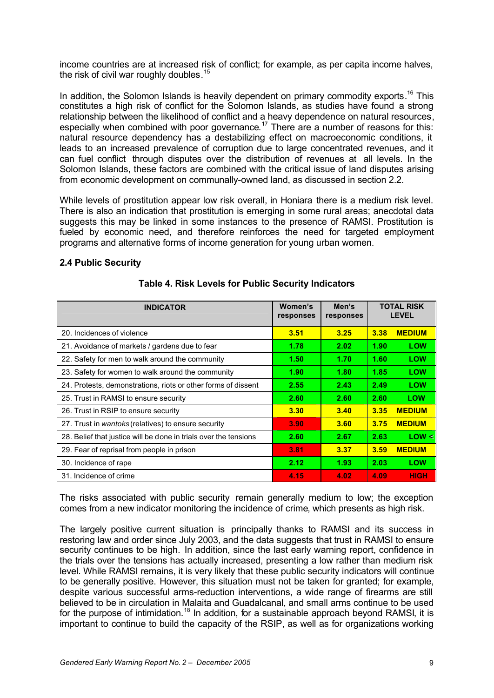income countries are at increased risk of conflict; for example, as per capita income halves, the risk of civil war roughly doubles.<sup>15</sup>

In addition, the Solomon Islands is heavily dependent on primary commodity exports.<sup>16</sup> This constitutes a high risk of conflict for the Solomon Islands, as studies have found a strong relationship between the likelihood of conflict and a heavy dependence on natural resources, especially when combined with poor governance.<sup>17</sup> There are a number of reasons for this: natural resource dependency has a destabilizing effect on macroeconomic conditions, it leads to an increased prevalence of corruption due to large concentrated revenues, and it can fuel conflict through disputes over the distribution of revenues at all levels. In the Solomon Islands, these factors are combined with the critical issue of land disputes arising from economic development on communally-owned land, as discussed in section 2.2.

While levels of prostitution appear low risk overall, in Honiara there is a medium risk level. There is also an indication that prostitution is emerging in some rural areas; anecdotal data suggests this may be linked in some instances to the presence of RAMSI. Prostitution is fueled by economic need, and therefore reinforces the need for targeted employment programs and alternative forms of income generation for young urban women.

#### **2.4 Public Security**

| <b>INDICATOR</b>                                                 | Women's<br>responses | Men's<br>responses | <b>TOTAL RISK</b><br><b>LEVEL</b> |               |
|------------------------------------------------------------------|----------------------|--------------------|-----------------------------------|---------------|
| 20. Incidences of violence                                       | 3.51                 | 3.25               | 3.38                              | <b>MEDIUM</b> |
| 21. Avoidance of markets / gardens due to fear                   | 1.78                 | 2.02               | 1.90                              | <b>LOW</b>    |
| 22. Safety for men to walk around the community                  | 1.50                 | 1.70               | 1.60                              | <b>LOW</b>    |
| 23. Safety for women to walk around the community                | 1.90                 | 1.80               | 1.85                              | <b>LOW</b>    |
| 24. Protests, demonstrations, riots or other forms of dissent    | 2.55                 | 2.43               | 2.49                              | <b>LOW</b>    |
| 25. Trust in RAMSI to ensure security                            | 2.60                 | 2.60               | 2.60                              | <b>LOW</b>    |
| 26. Trust in RSIP to ensure security                             | 3.30                 | 3.40               | 3.35                              | <b>MEDIUM</b> |
| 27. Trust in wantoks (relatives) to ensure security              | 3.90                 | 3.60               | 3.75                              | <b>MEDIUM</b> |
| 28. Belief that justice will be done in trials over the tensions | 2.60                 | 2.67               | 2.63                              | LOW <         |
| 29. Fear of reprisal from people in prison                       | 3.81                 | 3.37               | 3.59                              | <b>MEDIUM</b> |
| 30. Incidence of rape                                            | 2.12                 | 1.93               | 2.03                              | <b>LOW</b>    |
| 31. Incidence of crime                                           | 4.15                 | 4.02               | 4.09                              | <b>HIGH</b>   |

#### **Table 4. Risk Levels for Public Security Indicators**

The risks associated with public security remain generally medium to low; the exception comes from a new indicator monitoring the incidence of crime, which presents as high risk.

The largely positive current situation is principally thanks to RAMSI and its success in restoring law and order since July 2003, and the data suggests that trust in RAMSI to ensure security continues to be high. In addition, since the last early warning report, confidence in the trials over the tensions has actually increased, presenting a low rather than medium risk level. While RAMSI remains, it is very likely that these public security indicators will continue to be generally positive. However, this situation must not be taken for granted; for example, despite various successful arms-reduction interventions, a wide range of firearms are still believed to be in circulation in Malaita and Guadalcanal, and small arms continue to be used for the purpose of intimidation.<sup>18</sup> In addition, for a sustainable approach beyond RAMSI, it is important to continue to build the capacity of the RSIP, as well as for organizations working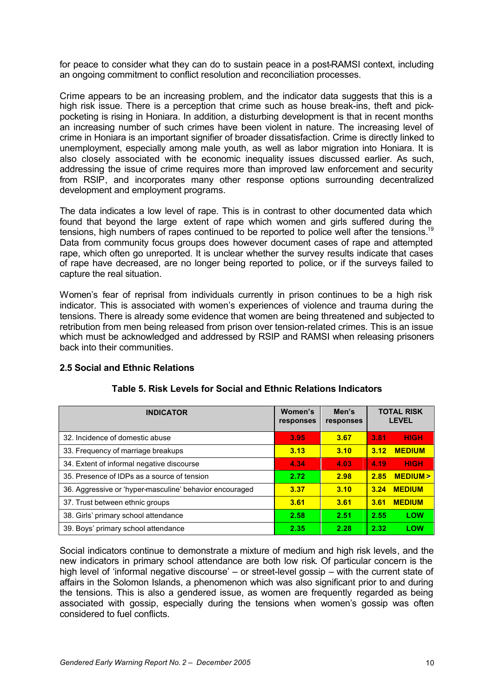for peace to consider what they can do to sustain peace in a post-RAMSI context, including an ongoing commitment to conflict resolution and reconciliation processes.

Crime appears to be an increasing problem, and the indicator data suggests that this is a high risk issue. There is a perception that crime such as house break-ins, theft and pickpocketing is rising in Honiara. In addition, a disturbing development is that in recent months an increasing number of such crimes have been violent in nature. The increasing level of crime in Honiara is an important signifier of broader dissatisfaction. Crime is directly linked to unemployment, especially among male youth, as well as labor migration into Honiara. It is also closely associated with the economic inequality issues discussed earlier. As such, addressing the issue of crime requires more than improved law enforcement and security from RSIP, and incorporates many other response options surrounding decentralized development and employment programs.

The data indicates a low level of rape. This is in contrast to other documented data which found that beyond the large extent of rape which women and girls suffered during the tensions, high numbers of rapes continued to be reported to police well after the tensions.<sup>19</sup> Data from community focus groups does however document cases of rape and attempted rape, which often go unreported. It is unclear whether the survey results indicate that cases of rape have decreased, are no longer being reported to police, or if the surveys failed to capture the real situation.

Women's fear of reprisal from individuals currently in prison continues to be a high risk indicator. This is associated with women's experiences of violence and trauma during the tensions. There is already some evidence that women are being threatened and subjected to retribution from men being released from prison over tension-related crimes. This is an issue which must be acknowledged and addressed by RSIP and RAMSI when releasing prisoners back into their communities.

#### **2.5 Social and Ethnic Relations**

| <b>INDICATOR</b>                                        | Women's<br>responses | Men's<br>responses | <b>TOTAL RISK</b><br><b>LEVEL</b> |  |
|---------------------------------------------------------|----------------------|--------------------|-----------------------------------|--|
| 32. Incidence of domestic abuse                         | 3.95                 | 3.67               | <b>HIGH</b><br>3.81               |  |
| 33. Frequency of marriage breakups                      | 3.13                 | 3.10               | <b>MEDIUM</b><br>3.12             |  |
| 34. Extent of informal negative discourse               | 4.34                 | 4.03               | <b>HIGH</b><br>4.19               |  |
| 35. Presence of IDPs as a source of tension             | 2.72                 | 2.98               | <b>MEDIUM&gt;</b><br>2.85         |  |
| 36. Aggressive or 'hyper-masculine' behavior encouraged | 3.37                 | 3.10               | <b>MEDIUM</b><br>3.24             |  |
| 37. Trust between ethnic groups                         | 3.61                 | 3.61               | <b>MEDIUM</b><br>3.61             |  |
| 38. Girls' primary school attendance                    | 2.58                 | 2.51               | 2.55<br>LOW                       |  |
| 39. Boys' primary school attendance                     | 2.35                 | 2.28               | LOW<br>2.32                       |  |

#### **Table 5. Risk Levels for Social and Ethnic Relations Indicators**

Social indicators continue to demonstrate a mixture of medium and high risk levels, and the new indicators in primary school attendance are both low risk. Of particular concern is the high level of 'informal negative discourse' – or street-level gossip – with the current state of affairs in the Solomon Islands, a phenomenon which was also significant prior to and during the tensions. This is also a gendered issue, as women are frequently regarded as being associated with gossip, especially during the tensions when women's gossip was often considered to fuel conflicts.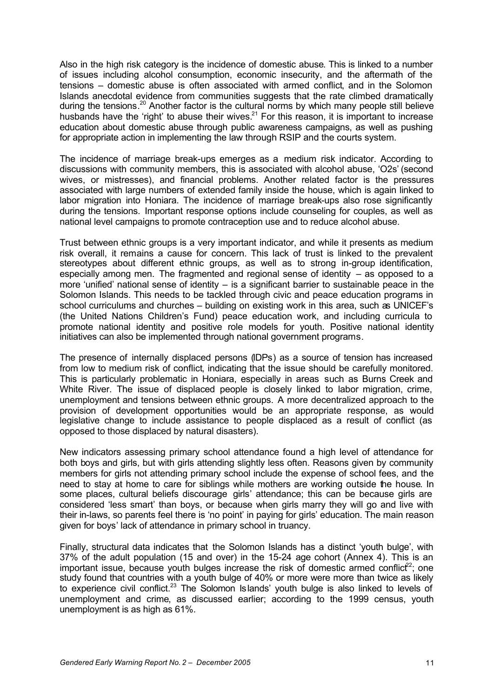Also in the high risk category is the incidence of domestic abuse. This is linked to a number of issues including alcohol consumption, economic insecurity, and the aftermath of the tensions – domestic abuse is often associated with armed conflict, and in the Solomon Islands anecdotal evidence from communities suggests that the rate climbed dramatically during the tensions.<sup>20</sup> Another factor is the cultural norms by which many people still believe husbands have the 'right' to abuse their wives. $21$  For this reason, it is important to increase education about domestic abuse through public awareness campaigns, as well as pushing for appropriate action in implementing the law through RSIP and the courts system.

The incidence of marriage break-ups emerges as a medium risk indicator. According to discussions with community members, this is associated with alcohol abuse, 'O2s' (second wives, or mistresses), and financial problems. Another related factor is the pressures associated with large numbers of extended family inside the house, which is again linked to labor migration into Honiara. The incidence of marriage break-ups also rose significantly during the tensions. Important response options include counseling for couples, as well as national level campaigns to promote contraception use and to reduce alcohol abuse.

Trust between ethnic groups is a very important indicator, and while it presents as medium risk overall, it remains a cause for concern. This lack of trust is linked to the prevalent stereotypes about different ethnic groups, as well as to strong in-group identification, especially among men. The fragmented and regional sense of identity – as opposed to a more 'unified' national sense of identity – is a significant barrier to sustainable peace in the Solomon Islands. This needs to be tackled through civic and peace education programs in school curriculums and churches – building on existing work in this area, such as UNICEF's (the United Nations Children's Fund) peace education work, and including curricula to promote national identity and positive role models for youth. Positive national identity initiatives can also be implemented through national government programs.

The presence of internally displaced persons (IDPs) as a source of tension has increased from low to medium risk of conflict, indicating that the issue should be carefully monitored. This is particularly problematic in Honiara, especially in areas such as Burns Creek and White River. The issue of displaced people is closely linked to labor migration, crime, unemployment and tensions between ethnic groups. A more decentralized approach to the provision of development opportunities would be an appropriate response, as would legislative change to include assistance to people displaced as a result of conflict (as opposed to those displaced by natural disasters).

New indicators assessing primary school attendance found a high level of attendance for both boys and girls, but with girls attending slightly less often. Reasons given by community members for girls not attending primary school include the expense of school fees, and the need to stay at home to care for siblings while mothers are working outside the house. In some places, cultural beliefs discourage girls' attendance; this can be because girls are considered 'less smart' than boys, or because when girls marry they will go and live with their in-laws, so parents feel there is 'no point' in paying for girls' education. The main reason given for boys' lack of attendance in primary school in truancy.

Finally, structural data indicates that the Solomon Islands has a distinct 'youth bulge', with 37% of the adult population (15 and over) in the 15-24 age cohort (Annex 4). This is an important issue, because youth bulges increase the risk of domestic armed conflict<sup>22</sup>; one study found that countries with a youth bulge of 40% or more were more than twice as likely to experience civil conflict.<sup>23</sup> The Solomon Islands' youth bulge is also linked to levels of unemployment and crime, as discussed earlier; according to the 1999 census, youth unemployment is as high as 61%.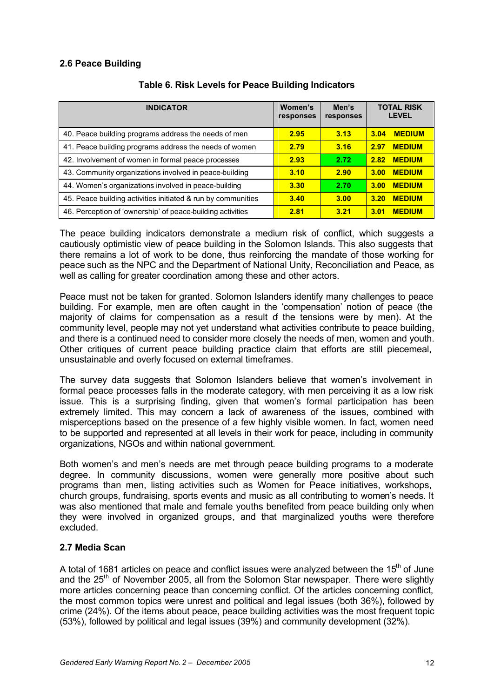#### **2.6 Peace Building**

| <b>INDICATOR</b>                                             | Women's<br>responses | Men's<br>responses | <b>TOTAL RISK</b><br><b>LEVEL</b> |
|--------------------------------------------------------------|----------------------|--------------------|-----------------------------------|
| 40. Peace building programs address the needs of men         | 2.95                 | 3.13               | <b>MEDIUM</b><br>3.04             |
| 41. Peace building programs address the needs of women       | 2.79                 | 3.16               | <b>MEDIUM</b><br>2.97             |
| 42. Involvement of women in formal peace processes           | 2.93                 | 2.72               | <b>MEDIUM</b><br>2.82             |
| 43. Community organizations involved in peace-building       | 3.10                 | 2.90               | <b>MEDIUM</b><br>3.00             |
| 44. Women's organizations involved in peace-building         | 3.30                 | 2.70               | <b>MEDIUM</b><br>3.00             |
| 45. Peace building activities initiated & run by communities | 3.40                 | 3.00               | <b>MEDIUM</b><br>3.20             |
| 46. Perception of 'ownership' of peace-building activities   | 2.81                 | 3.21               | <b>MEDIUM</b><br>3.01             |

#### **Table 6. Risk Levels for Peace Building Indicators**

The peace building indicators demonstrate a medium risk of conflict, which suggests a cautiously optimistic view of peace building in the Solomon Islands. This also suggests that there remains a lot of work to be done, thus reinforcing the mandate of those working for peace such as the NPC and the Department of National Unity, Reconciliation and Peace, as well as calling for greater coordination among these and other actors.

Peace must not be taken for granted. Solomon Islanders identify many challenges to peace building. For example, men are often caught in the 'compensation' notion of peace (the majority of claims for compensation as a result  $d$  the tensions were by men). At the community level, people may not yet understand what activities contribute to peace building, and there is a continued need to consider more closely the needs of men, women and youth. Other critiques of current peace building practice claim that efforts are still piecemeal, unsustainable and overly focused on external timeframes.

The survey data suggests that Solomon Islanders believe that women's involvement in formal peace processes falls in the moderate category, with men perceiving it as a low risk issue. This is a surprising finding, given that women's formal participation has been extremely limited. This may concern a lack of awareness of the issues, combined with misperceptions based on the presence of a few highly visible women. In fact, women need to be supported and represented at all levels in their work for peace, including in community organizations, NGOs and within national government.

Both women's and men's needs are met through peace building programs to a moderate degree. In community discussions, women were generally more positive about such programs than men, listing activities such as Women for Peace initiatives, workshops, church groups, fundraising, sports events and music as all contributing to women's needs. It was also mentioned that male and female youths benefited from peace building only when they were involved in organized groups, and that marginalized youths were therefore excluded.

### **2.7 Media Scan**

A total of 1681 articles on peace and conflict issues were analyzed between the  $15<sup>th</sup>$  of June and the 25<sup>th</sup> of November 2005, all from the Solomon Star newspaper. There were slightly more articles concerning peace than concerning conflict. Of the articles concerning conflict, the most common topics were unrest and political and legal issues (both 36%), followed by crime (24%). Of the items about peace, peace building activities was the most frequent topic (53%), followed by political and legal issues (39%) and community development (32%).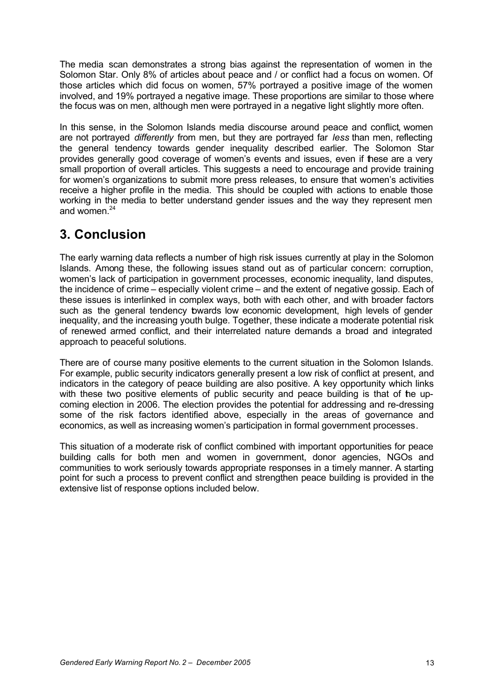The media scan demonstrates a strong bias against the representation of women in the Solomon Star. Only 8% of articles about peace and / or conflict had a focus on women. Of those articles which did focus on women, 57% portrayed a positive image of the women involved, and 19% portrayed a negative image. These proportions are similar to those where the focus was on men, although men were portrayed in a negative light slightly more often.

In this sense, in the Solomon Islands media discourse around peace and conflict, women are not portrayed *differently* from men, but they are portrayed far *less* than men, reflecting the general tendency towards gender inequality described earlier. The Solomon Star provides generally good coverage of women's events and issues, even if these are a very small proportion of overall articles. This suggests a need to encourage and provide training for women's organizations to submit more press releases, to ensure that women's activities receive a higher profile in the media. This should be coupled with actions to enable those working in the media to better understand gender issues and the way they represent men and women. $24$ 

# **3. Conclusion**

The early warning data reflects a number of high risk issues currently at play in the Solomon Islands. Among these, the following issues stand out as of particular concern: corruption, women's lack of participation in government processes, economic inequality, land disputes, the incidence of crime – especially violent crime – and the extent of negative gossip. Each of these issues is interlinked in complex ways, both with each other, and with broader factors such as the general tendency towards low economic development, high levels of gender inequality, and the increasing youth bulge. Together, these indicate a moderate potential risk of renewed armed conflict, and their interrelated nature demands a broad and integrated approach to peaceful solutions.

There are of course many positive elements to the current situation in the Solomon Islands. For example, public security indicators generally present a low risk of conflict at present, and indicators in the category of peace building are also positive. A key opportunity which links with these two positive elements of public security and peace building is that of the upcoming election in 2006. The election provides the potential for addressing and re-dressing some of the risk factors identified above, especially in the areas of governance and economics, as well as increasing women's participation in formal government processes.

This situation of a moderate risk of conflict combined with important opportunities for peace building calls for both men and women in government, donor agencies, NGOs and communities to work seriously towards appropriate responses in a timely manner. A starting point for such a process to prevent conflict and strengthen peace building is provided in the extensive list of response options included below.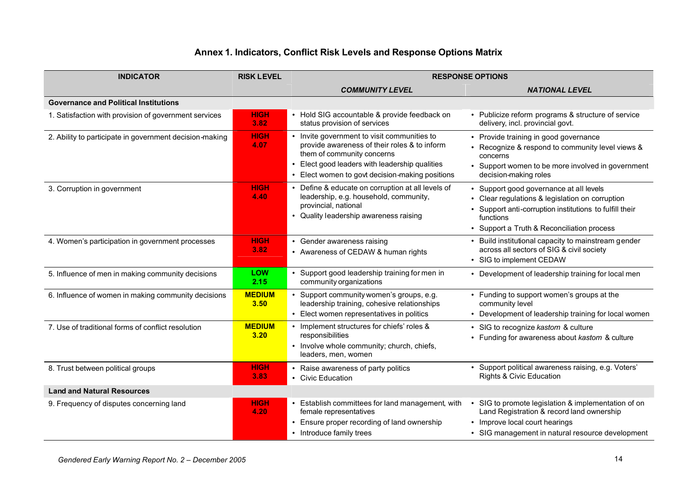# **Annex 1. Indicators, Conflict Risk Levels and Response Options Matrix**

| <b>INDICATOR</b>                                        | <b>RISK LEVEL</b>     | <b>RESPONSE OPTIONS</b>                                                                                                                                                                                                        |                                                                                                                                                                                                                  |
|---------------------------------------------------------|-----------------------|--------------------------------------------------------------------------------------------------------------------------------------------------------------------------------------------------------------------------------|------------------------------------------------------------------------------------------------------------------------------------------------------------------------------------------------------------------|
|                                                         |                       | <b>COMMUNITY LEVEL</b>                                                                                                                                                                                                         | <b>NATIONAL LEVEL</b>                                                                                                                                                                                            |
| <b>Governance and Political Institutions</b>            |                       |                                                                                                                                                                                                                                |                                                                                                                                                                                                                  |
| 1. Satisfaction with provision of government services   | <b>HIGH</b><br>3.82   | • Hold SIG accountable & provide feedback on<br>status provision of services                                                                                                                                                   | • Publicize reform programs & structure of service<br>delivery, incl. provincial govt.                                                                                                                           |
| 2. Ability to participate in government decision-making | <b>HIGH</b><br>4.07   | • Invite government to visit communities to<br>provide awareness of their roles & to inform<br>them of community concerns<br>• Elect good leaders with leadership qualities<br>• Elect women to govt decision-making positions | • Provide training in good governance<br>• Recognize & respond to community level views &<br>concerns<br>• Support women to be more involved in government<br>decision-making roles                              |
| 3. Corruption in government                             | <b>HIGH</b><br>4.40   | • Define & educate on corruption at all levels of<br>leadership, e.g. household, community,<br>provincial, national<br>• Quality leadership awareness raising                                                                  | • Support good governance at all levels<br>• Clear regulations & legislation on corruption<br>• Support anti-corruption institutions to fulfill their<br>functions<br>• Support a Truth & Reconciliation process |
| 4. Women's participation in government processes        | <b>HIGH</b><br>3.82   | • Gender awareness raising<br>• Awareness of CEDAW & human rights                                                                                                                                                              | • Build institutional capacity to mainstream gender<br>across all sectors of SIG & civil society<br>• SIG to implement CEDAW                                                                                     |
| 5. Influence of men in making community decisions       | LOW<br>2.15           | • Support good leadership training for men in<br>community organizations                                                                                                                                                       | • Development of leadership training for local men                                                                                                                                                               |
| 6. Influence of women in making community decisions     | <b>MEDIUM</b><br>3.50 | • Support community women's groups, e.g.<br>leadership training, cohesive relationships<br>• Elect women representatives in politics                                                                                           | • Funding to support women's groups at the<br>community level<br>• Development of leadership training for local women                                                                                            |
| 7. Use of traditional forms of conflict resolution      | <b>MEDIUM</b><br>3.20 | • Implement structures for chiefs' roles &<br>responsibilities<br>• Involve whole community; church, chiefs,<br>leaders, men, women                                                                                            | • SIG to recognize kastom & culture<br>• Funding for awareness about kastom & culture                                                                                                                            |
| 8. Trust between political groups                       | <b>HIGH</b><br>3.83   | • Raise awareness of party politics<br>• Civic Education                                                                                                                                                                       | • Support political awareness raising, e.g. Voters'<br>Rights & Civic Education                                                                                                                                  |
| <b>Land and Natural Resources</b>                       |                       |                                                                                                                                                                                                                                |                                                                                                                                                                                                                  |
| 9. Frequency of disputes concerning land                | <b>HIGH</b><br>4.20   | • Establish committees for land management, with<br>female representatives<br>• Ensure proper recording of land ownership<br>• Introduce family trees                                                                          | SIG to promote legislation & implementation of on<br>Land Registration & record land ownership<br>• Improve local court hearings<br>• SIG management in natural resource development                             |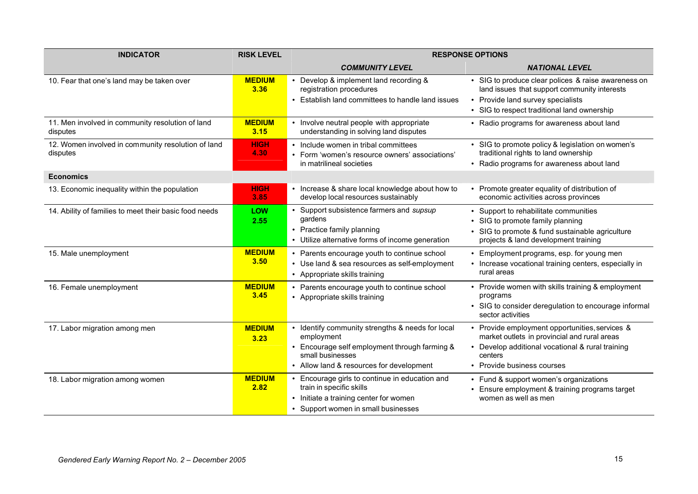| <b>INDICATOR</b>                                               | <b>RISK LEVEL</b>     |                                                                                                                                                                                 | <b>RESPONSE OPTIONS</b>                                                                                                                                                                     |
|----------------------------------------------------------------|-----------------------|---------------------------------------------------------------------------------------------------------------------------------------------------------------------------------|---------------------------------------------------------------------------------------------------------------------------------------------------------------------------------------------|
|                                                                |                       | <b>COMMUNITY LEVEL</b>                                                                                                                                                          | <b>NATIONAL LEVEL</b>                                                                                                                                                                       |
| 10. Fear that one's land may be taken over                     | <b>MEDIUM</b><br>3.36 | • Develop & implement land recording &<br>registration procedures<br>• Establish land committees to handle land issues                                                          | • SIG to produce clear polices & raise awareness on<br>land issues that support community interests<br>• Provide land survey specialists<br>• SIG to respect traditional land ownership     |
| 11. Men involved in community resolution of land<br>disputes   | <b>MEDIUM</b><br>3.15 | • Involve neutral people with appropriate<br>understanding in solving land disputes                                                                                             | • Radio programs for awareness about land                                                                                                                                                   |
| 12. Women involved in community resolution of land<br>disputes | <b>HIGH</b><br>4.30   | • Include women in tribal committees<br>• Form 'women's resource owners' associations'<br>in matrilineal societies                                                              | • SIG to promote policy & legislation on women's<br>traditional rights to land ownership<br>• Radio programs for awareness about land                                                       |
| <b>Economics</b>                                               |                       |                                                                                                                                                                                 |                                                                                                                                                                                             |
| 13. Economic inequality within the population                  | <b>HIGH</b><br>3.85   | • Increase & share local knowledge about how to<br>develop local resources sustainably                                                                                          | • Promote greater equality of distribution of<br>economic activities across provinces                                                                                                       |
| 14. Ability of families to meet their basic food needs         | <b>LOW</b><br>2.55    | • Support subsistence farmers and supsup<br>gardens<br>• Practice family planning<br>• Utilize alternative forms of income generation                                           | • Support to rehabilitate communities<br>• SIG to promote family planning<br>• SIG to promote & fund sustainable agriculture<br>projects & land development training                        |
| 15. Male unemployment                                          | <b>MEDIUM</b><br>3.50 | • Parents encourage youth to continue school<br>• Use land & sea resources as self-employment<br>• Appropriate skills training                                                  | • Employment programs, esp. for young men<br>• Increase vocational training centers, especially in<br>rural areas                                                                           |
| 16. Female unemployment                                        | <b>MEDIUM</b><br>3.45 | • Parents encourage youth to continue school<br>• Appropriate skills training                                                                                                   | • Provide women with skills training & employment<br>programs<br>• SIG to consider deregulation to encourage informal<br>sector activities                                                  |
| 17. Labor migration among men                                  | <b>MEDIUM</b><br>3.23 | • Identify community strengths & needs for local<br>employment<br>• Encourage self employment through farming &<br>small businesses<br>• Allow land & resources for development | • Provide employment opportunities, services &<br>market outlets in provincial and rural areas<br>• Develop additional vocational & rural training<br>centers<br>• Provide business courses |
| 18. Labor migration among women                                | <b>MEDIUM</b><br>2.82 | • Encourage girls to continue in education and<br>train in specific skills<br>• Initiate a training center for women<br>• Support women in small businesses                     | • Fund & support women's organizations<br>• Ensure employment & training programs target<br>women as well as men                                                                            |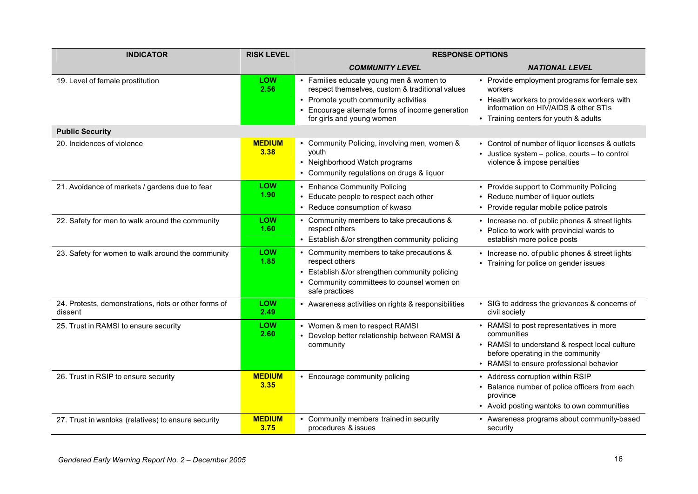| <b>INDICATOR</b>                                                 | <b>RISK LEVEL</b>     | <b>RESPONSE OPTIONS</b>                                                                                                                                                                                           |                                                                                                                                                                                         |
|------------------------------------------------------------------|-----------------------|-------------------------------------------------------------------------------------------------------------------------------------------------------------------------------------------------------------------|-----------------------------------------------------------------------------------------------------------------------------------------------------------------------------------------|
|                                                                  |                       | <b>COMMUNITY LEVEL</b>                                                                                                                                                                                            | <b>NATIONAL LEVEL</b>                                                                                                                                                                   |
| 19. Level of female prostitution                                 | <b>LOW</b><br>2.56    | • Families educate young men & women to<br>respect themselves, custom & traditional values<br>• Promote youth community activities<br>Encourage alternate forms of income generation<br>for girls and young women | • Provide employment programs for female sex<br>workers<br>• Health workers to providesex workers with<br>information on HIV/AIDS & other STIs<br>• Training centers for youth & adults |
| <b>Public Security</b>                                           |                       |                                                                                                                                                                                                                   |                                                                                                                                                                                         |
| 20. Incidences of violence                                       | <b>MEDIUM</b><br>3.38 | • Community Policing, involving men, women &<br>youth<br>• Neighborhood Watch programs<br>• Community regulations on drugs & liquor                                                                               | • Control of number of liquor licenses & outlets<br>• Justice system - police, courts - to control<br>violence & impose penalties                                                       |
| 21. Avoidance of markets / gardens due to fear                   | <b>LOW</b><br>1.90    | • Enhance Community Policing<br>• Educate people to respect each other<br>• Reduce consumption of kwaso                                                                                                           | • Provide support to Community Policing<br>• Reduce number of liquor outlets<br>• Provide regular mobile police patrols                                                                 |
| 22. Safety for men to walk around the community                  | <b>LOW</b><br>1.60    | • Community members to take precautions &<br>respect others<br>• Establish &/or strengthen community policing                                                                                                     | • Increase no. of public phones & street lights<br>• Police to work with provincial wards to<br>establish more police posts                                                             |
| 23. Safety for women to walk around the community                | <b>LOW</b><br>1.85    | • Community members to take precautions &<br>respect others<br>• Establish &/or strengthen community policing<br>• Community committees to counsel women on<br>safe practices                                     | • Increase no. of public phones & street lights<br>• Training for police on gender issues                                                                                               |
| 24. Protests, demonstrations, riots or other forms of<br>dissent | LOW<br>2.49           | • Awareness activities on rights & responsibilities                                                                                                                                                               | • SIG to address the grievances & concerns of<br>civil society                                                                                                                          |
| 25. Trust in RAMSI to ensure security                            | LOW<br>2.60           | • Women & men to respect RAMSI<br>• Develop better relationship between RAMSI &<br>community                                                                                                                      | • RAMSI to post representatives in more<br>communities<br>• RAMSI to understand & respect local culture<br>before operating in the community<br>• RAMSI to ensure professional behavior |
| 26. Trust in RSIP to ensure security                             | <b>MEDIUM</b><br>3.35 | • Encourage community policing                                                                                                                                                                                    | • Address corruption within RSIP<br>• Balance number of police officers from each<br>province<br>• Avoid posting wantoks to own communities                                             |
| 27. Trust in wantoks (relatives) to ensure security              | <b>MEDIUM</b><br>3.75 | Community members trained in security<br>procedures & issues                                                                                                                                                      | • Awareness programs about community-based<br>security                                                                                                                                  |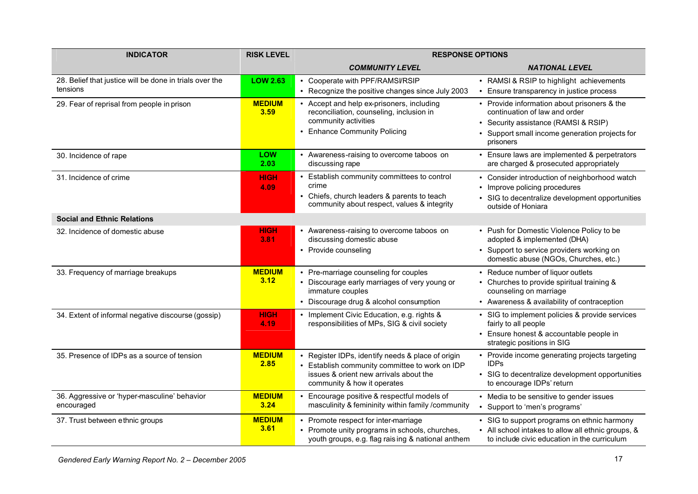| <b>INDICATOR</b>                                                    | <b>RISK LEVEL</b>     | <b>RESPONSE OPTIONS</b>                                                                                                                                                      |                                                                                                                                                                                     |
|---------------------------------------------------------------------|-----------------------|------------------------------------------------------------------------------------------------------------------------------------------------------------------------------|-------------------------------------------------------------------------------------------------------------------------------------------------------------------------------------|
|                                                                     |                       | <b>COMMUNITY LEVEL</b>                                                                                                                                                       | <b>NATIONAL LEVEL</b>                                                                                                                                                               |
| 28. Belief that justice will be done in trials over the<br>tensions | <b>LOW 2.63</b>       | • Cooperate with PPF/RAMSI/RSIP<br>• Recognize the positive changes since July 2003                                                                                          | • RAMSI & RSIP to highlight achievements<br>• Ensure transparency in justice process                                                                                                |
| 29. Fear of reprisal from people in prison                          | <b>MEDIUM</b><br>3.59 | • Accept and help ex-prisoners, including<br>reconciliation, counseling, inclusion in<br>community activities<br>• Enhance Community Policing                                | • Provide information about prisoners & the<br>continuation of law and order<br>• Security assistance (RAMSI & RSIP)<br>• Support small income generation projects for<br>prisoners |
| 30. Incidence of rape                                               | <b>LOW</b><br>2.03    | • Awareness-raising to overcome taboos on<br>discussing rape                                                                                                                 | • Ensure laws are implemented & perpetrators<br>are charged & prosecuted appropriately                                                                                              |
| 31. Incidence of crime<br><b>Social and Ethnic Relations</b>        | <b>HIGH</b><br>4.09   | • Establish community committees to control<br>crime<br>Chiefs, church leaders & parents to teach<br>community about respect, values & integrity                             | • Consider introduction of neighborhood watch<br>• Improve policing procedures<br>• SIG to decentralize development opportunities<br>outside of Honiara                             |
| 32. Incidence of domestic abuse                                     | <b>HIGH</b>           | • Awareness-raising to overcome taboos on                                                                                                                                    | • Push for Domestic Violence Policy to be                                                                                                                                           |
|                                                                     | 3.81                  | discussing domestic abuse<br>• Provide counseling                                                                                                                            | adopted & implemented (DHA)<br>• Support to service providers working on<br>domestic abuse (NGOs, Churches, etc.)                                                                   |
| 33. Frequency of marriage breakups                                  | <b>MEDIUM</b><br>3.12 | • Pre-marriage counseling for couples<br>• Discourage early marriages of very young or<br>immature couples<br>• Discourage drug & alcohol consumption                        | • Reduce number of liquor outlets<br>• Churches to provide spiritual training &<br>counseling on marriage<br>• Awareness & availability of contraception                            |
| 34. Extent of informal negative discourse (gossip)                  | <b>HIGH</b><br>4.19   | • Implement Civic Education, e.g. rights &<br>responsibilities of MPs, SIG & civil society                                                                                   | • SIG to implement policies & provide services<br>fairly to all people<br>• Ensure honest & accountable people in<br>strategic positions in SIG                                     |
| 35. Presence of IDPs as a source of tension                         | <b>MEDIUM</b><br>2.85 | • Register IDPs, identify needs & place of origin<br>• Establish community committee to work on IDP<br>issues & orient new arrivals about the<br>community & how it operates | • Provide income generating projects targeting<br><b>IDPs</b><br>• SIG to decentralize development opportunities<br>to encourage IDPs' return                                       |
| 36. Aggressive or 'hyper-masculine' behavior<br>encouraged          | <b>MEDIUM</b><br>3.24 | • Encourage positive & respectful models of<br>masculinity & femininity within family /community                                                                             | • Media to be sensitive to gender issues<br>Support to 'men's programs'<br>$\bullet$                                                                                                |
| 37. Trust between ethnic groups                                     | <b>MEDIUM</b><br>3.61 | • Promote respect for inter-marriage<br>• Promote unity programs in schools, churches,<br>youth groups, e.g. flag raising & national anthem                                  | • SIG to support programs on ethnic harmony<br>• All school intakes to allow all ethnic groups, &<br>to include civic education in the curriculum                                   |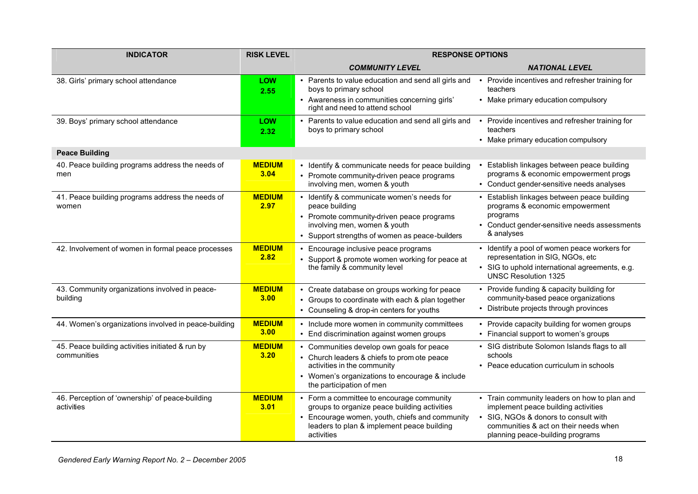| <b>INDICATOR</b>                                                | <b>RISK LEVEL</b>     | <b>RESPONSE OPTIONS</b>                                                                                                                                                                                 |                                                                                                                                                                                                          |  |
|-----------------------------------------------------------------|-----------------------|---------------------------------------------------------------------------------------------------------------------------------------------------------------------------------------------------------|----------------------------------------------------------------------------------------------------------------------------------------------------------------------------------------------------------|--|
|                                                                 |                       | <b>COMMUNITY LEVEL</b>                                                                                                                                                                                  | <b>NATIONAL LEVEL</b>                                                                                                                                                                                    |  |
| 38. Girls' primary school attendance                            | LOW<br>2.55           | • Parents to value education and send all girls and<br>boys to primary school                                                                                                                           | Provide incentives and refresher training for<br>$\bullet$<br>teachers                                                                                                                                   |  |
|                                                                 |                       | • Awareness in communities concerning girls'<br>right and need to attend school                                                                                                                         | • Make primary education compulsory                                                                                                                                                                      |  |
| 39. Boys' primary school attendance                             | LOW<br>2.32           | • Parents to value education and send all girls and<br>boys to primary school                                                                                                                           | Provide incentives and refresher training for<br>$\bullet$<br>teachers                                                                                                                                   |  |
|                                                                 |                       |                                                                                                                                                                                                         | • Make primary education compulsory                                                                                                                                                                      |  |
| <b>Peace Building</b>                                           |                       |                                                                                                                                                                                                         |                                                                                                                                                                                                          |  |
| 40. Peace building programs address the needs of<br>men         | <b>MEDIUM</b><br>3.04 | • Identify & communicate needs for peace building<br>• Promote community-driven peace programs<br>involving men, women & youth                                                                          | Establish linkages between peace building<br>programs & economic empowerment progs<br>• Conduct gender-sensitive needs analyses                                                                          |  |
| 41. Peace building programs address the needs of<br>women       | <b>MEDIUM</b><br>2.97 | • Identify & communicate women's needs for<br>peace building<br>• Promote community-driven peace programs<br>involving men, women & youth<br>• Support strengths of women as peace-builders             | • Establish linkages between peace building<br>programs & economic empowerment<br>programs<br>Conduct gender-sensitive needs assessments<br>& analyses                                                   |  |
| 42. Involvement of women in formal peace processes              | <b>MEDIUM</b><br>2.82 | • Encourage inclusive peace programs<br>• Support & promote women working for peace at<br>the family & community level                                                                                  | • Identify a pool of women peace workers for<br>representation in SIG, NGOs, etc<br>• SIG to uphold international agreements, e.g.<br><b>UNSC Resolution 1325</b>                                        |  |
| 43. Community organizations involved in peace-<br>building      | <b>MEDIUM</b><br>3.00 | • Create database on groups working for peace<br>Groups to coordinate with each & plan together<br>$\bullet$<br>• Counseling & drop-in centers for youths                                               | • Provide funding & capacity building for<br>community-based peace organizations<br>• Distribute projects through provinces                                                                              |  |
| 44. Women's organizations involved in peace-building            | <b>MEDIUM</b><br>3.00 | • Include more women in community committees<br>• End discrimination against women groups                                                                                                               | • Provide capacity building for women groups<br>• Financial support to women's groups                                                                                                                    |  |
| 45. Peace building activities initiated & run by<br>communities | <b>MEDIUM</b><br>3.20 | • Communities develop own goals for peace<br>• Church leaders & chiefs to prom ote peace<br>activities in the community<br>• Women's organizations to encourage & include<br>the participation of men   | • SIG distribute Solomon Islands flags to all<br>schools<br>• Peace education curriculum in schools                                                                                                      |  |
| 46. Perception of 'ownership' of peace-building<br>activities   | <b>MEDIUM</b><br>3.01 | • Form a committee to encourage community<br>groups to organize peace building activities<br>• Encourage women, youth, chiefs and community<br>leaders to plan & implement peace building<br>activities | • Train community leaders on how to plan and<br>implement peace building activities<br>• SIG, NGOs & donors to consult with<br>communities & act on their needs when<br>planning peace-building programs |  |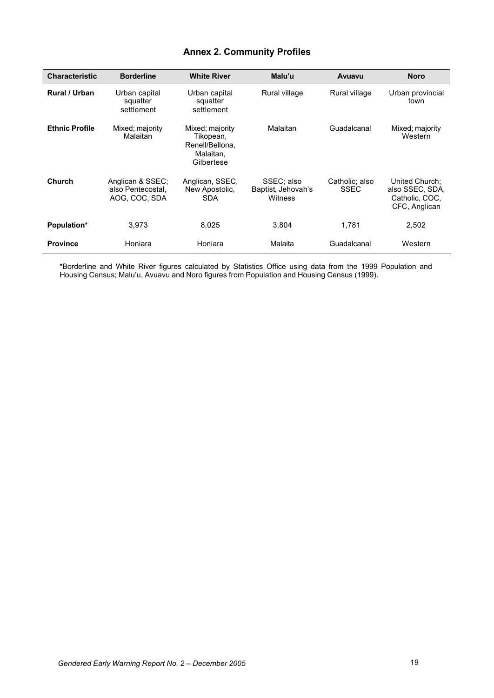### **Annex 2. Community Profiles**

| <b>Characteristic</b> | <b>Borderline</b>                                      | <b>White River</b>                                                         | Malu'u                                      | Avuavu                        | <b>Noro</b>                                                          |
|-----------------------|--------------------------------------------------------|----------------------------------------------------------------------------|---------------------------------------------|-------------------------------|----------------------------------------------------------------------|
| Rural / Urban         | Urban capital<br>squatter<br>settlement                | Urban capital<br>squatter<br>settlement                                    | Rural village                               | Rural village                 | Urban provincial<br>town                                             |
| <b>Ethnic Profile</b> | Mixed; majority<br>Malaitan                            | Mixed; majority<br>Tikopean,<br>Renell/Bellona.<br>Malaitan.<br>Gilbertese | Malaitan                                    | Guadalcanal                   | Mixed; majority<br>Western                                           |
| Church                | Anglican & SSEC;<br>also Pentecostal.<br>AOG, COC, SDA | Anglican, SSEC,<br>New Apostolic.<br><b>SDA</b>                            | SSEC; also<br>Baptist, Jehovah's<br>Witness | Catholic: also<br><b>SSEC</b> | United Church:<br>also SSEC, SDA,<br>Catholic. COC.<br>CFC, Anglican |
| Population*           | 3.973                                                  | 8,025                                                                      | 3,804                                       | 1.781                         | 2,502                                                                |
| <b>Province</b>       | Honiara                                                | Honiara                                                                    | Malaita                                     | Guadalcanal                   | Western                                                              |

\*Borderline and White River figures calculated by Statistics Office using data from the 1999 Population and Housing Census; Malu'u, Avuavu and Noro figures from Population and Housing Census (1999).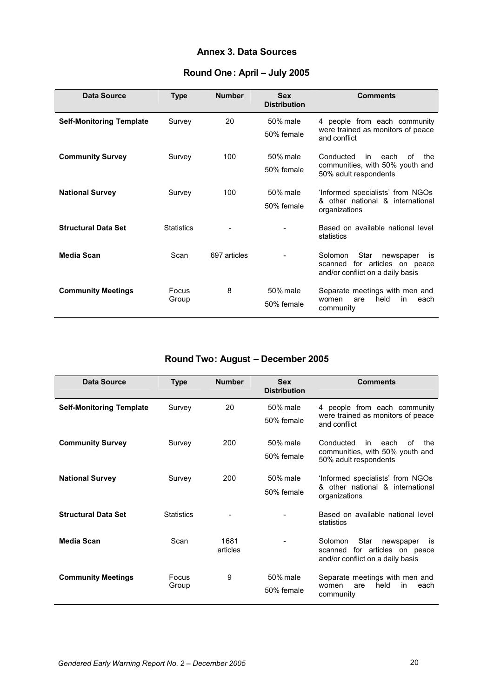#### **Annex 3. Data Sources**

| <b>Data Source</b>              | <b>Type</b>       | <b>Number</b> | <b>Sex</b><br><b>Distribution</b> | <b>Comments</b>                                                        |
|---------------------------------|-------------------|---------------|-----------------------------------|------------------------------------------------------------------------|
| <b>Self-Monitoring Template</b> | Survey            | 20            | 50% male                          | 4 people from each community<br>were trained as monitors of peace      |
|                                 |                   |               | 50% female                        | and conflict                                                           |
| <b>Community Survey</b>         | Survey            | 100           | 50% male                          | Conducted<br>in<br>each<br>Ωf<br>the                                   |
|                                 |                   |               | 50% female                        | communities, with 50% youth and<br>50% adult respondents               |
| <b>National Survey</b>          | Survey            | 100           | 50% male                          | 'Informed specialists' from NGOs                                       |
|                                 |                   |               | 50% female                        | & other national & international<br>organizations                      |
| <b>Structural Data Set</b>      | <b>Statistics</b> |               |                                   | Based on available national level<br>statistics                        |
| Media Scan                      | Scan              | 697 articles  |                                   | Star<br>Solomon<br>newspaper<br>İS<br>for articles on peace<br>scanned |
|                                 |                   |               |                                   | and/or conflict on a daily basis                                       |
| <b>Community Meetings</b>       | Focus             | 8             | 50% male                          | Separate meetings with men and<br>held<br>in<br>each<br>women<br>are   |
|                                 | Group             |               | 50% female                        | community                                                              |

### **Round One: April – July 2005**

### **Round Two: August – December 2005**

| Data Source                     | <b>Type</b>       | <b>Number</b>    | <b>Sex</b><br><b>Distribution</b> | <b>Comments</b>                                                                                            |
|---------------------------------|-------------------|------------------|-----------------------------------|------------------------------------------------------------------------------------------------------------|
| <b>Self-Monitoring Template</b> | Survey            | 20               | 50% male<br>50% female            | people from each community<br>were trained as monitors of peace<br>and conflict                            |
| <b>Community Survey</b>         | Survey            | 200              | 50% male<br>50% female            | Conducted<br>οf<br>in<br>each<br>the<br>communities, with 50% youth and<br>50% adult respondents           |
| <b>National Survey</b>          | Survey            | 200              | 50% male<br>50% female            | 'Informed specialists' from NGOs<br>& other national & international<br>organizations                      |
| <b>Structural Data Set</b>      | <b>Statistics</b> |                  |                                   | Based on available national level<br>statistics                                                            |
| Media Scan                      | Scan              | 1681<br>articles |                                   | Star<br>Solomon<br>newspaper<br>is<br>for articles on peace<br>scanned<br>and/or conflict on a daily basis |
| <b>Community Meetings</b>       | Focus<br>Group    | 9                | 50% male<br>50% female            | Separate meetings with men and<br>held<br>in<br>each<br>women<br>are<br>community                          |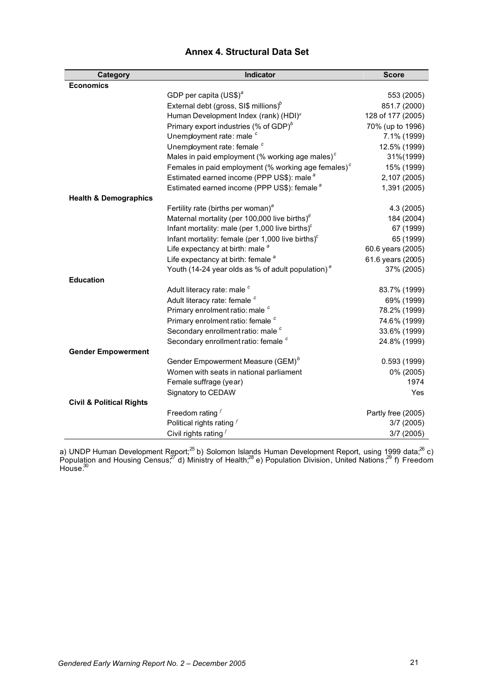| Category                            | Indicator                                                     | <b>Score</b>       |
|-------------------------------------|---------------------------------------------------------------|--------------------|
| <b>Economics</b>                    |                                                               |                    |
|                                     | GDP per capita $(US$)^{a}$                                    | 553 (2005)         |
|                                     | External debt (gross, SI\$ millions) $^b$                     | 851.7 (2000)       |
|                                     | Human Development Index (rank) (HDI) <sup>a</sup>             | 128 of 177 (2005)  |
|                                     | Primary export industries (% of GDP) $^b$                     | 70% (up to 1996)   |
|                                     | Unemployment rate: male <sup>c</sup>                          | 7.1% (1999)        |
|                                     | Unemployment rate: female <sup>c</sup>                        | 12.5% (1999)       |
|                                     | Males in paid employment (% working age males) $c$            | 31%(1999)          |
|                                     | Females in paid employment (% working age females) $c$        | 15% (1999)         |
|                                     | Estimated earned income (PPP US\$): male <sup>a</sup>         | 2,107 (2005)       |
|                                     | Estimated earned income (PPP US\$): female <sup>a</sup>       | 1,391 (2005)       |
| <b>Health &amp; Demographics</b>    |                                                               |                    |
|                                     | Fertility rate (births per woman) <sup>a</sup>                | 4.3 (2005)         |
|                                     | Maternal mortality (per 100,000 live births) $^d$             | 184 (2004)         |
|                                     | Infant mortality: male (per 1,000 live births) $c$            | 67 (1999)          |
|                                     | Infant mortality: female (per 1,000 live births) $c$          | 65 (1999)          |
|                                     | Life expectancy at birth: male <sup>a</sup>                   | 60.6 years (2005)  |
|                                     | Life expectancy at birth: female <sup>a</sup>                 | 61.6 years (2005)  |
|                                     | Youth (14-24 year olds as % of adult population) <sup>e</sup> | 37% (2005)         |
| <b>Education</b>                    |                                                               |                    |
|                                     | Adult literacy rate: male c                                   | 83.7% (1999)       |
|                                     | Adult literacy rate: female c                                 | 69% (1999)         |
|                                     | Primary enrolment ratio: male c                               | 78.2% (1999)       |
|                                     | Primary enrolment ratio: female c                             | 74.6% (1999)       |
|                                     | Secondary enrollment ratio: male <sup>c</sup>                 | 33.6% (1999)       |
|                                     | Secondary enrollment ratio: female <sup>c</sup>               | 24.8% (1999)       |
| <b>Gender Empowerment</b>           |                                                               |                    |
|                                     | Gender Empowerment Measure (GEM) <sup>b</sup>                 | 0.593(1999)        |
|                                     | Women with seats in national parliament                       | 0% (2005)          |
|                                     | Female suffrage (year)                                        | 1974               |
|                                     | Signatory to CEDAW                                            | Yes                |
| <b>Civil &amp; Political Rights</b> |                                                               |                    |
|                                     | Freedom rating $f$                                            | Partly free (2005) |
|                                     | Political rights rating $f$                                   | 3/7(2005)          |
|                                     | Civil rights rating $f$                                       | 3/7 (2005)         |

### **Annex 4. Structural Data Set**

a) UNDP Human Development Report;<sup>25</sup> b) Solomon Islands Human Development Report, using 1999 data;<sup>26</sup> c) Population and Housing Census,  $27$  d) Ministry of Health,  $28$  e) Population Division, United Nations,  $29$  f) Freedom House. $30$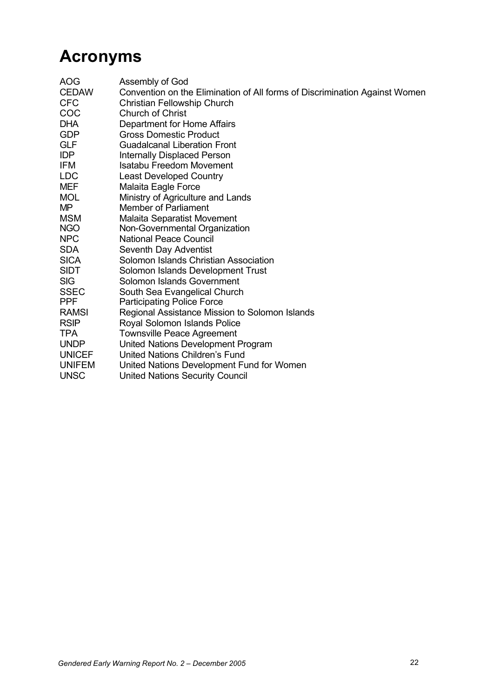# **Acronyms**

| <b>UNSC</b><br><b>United Nations Security Council</b> | AOG<br><b>CEDAW</b><br>CFC<br>COC<br>DHA<br>GDP<br>GLF<br>IDP<br>IFM<br>LDC<br>MEF<br><b>MOL</b><br>МP<br><b>MSM</b><br>NGO<br>NPC<br>SDA<br>SICA<br><b>SIDT</b><br>SIG<br>SSEC<br>PPF<br><b>RAMSI</b><br><b>RSIP</b><br>TPA<br>UNDP<br><b>UNICEF</b><br><b>UNIFEM</b> | Assembly of God<br>Convention on the Elimination of All forms of Discrimination Against Women<br>Christian Fellowship Church<br><b>Church of Christ</b><br>Department for Home Affairs<br><b>Gross Domestic Product</b><br><b>Guadalcanal Liberation Front</b><br>Internally Displaced Person<br>Isatabu Freedom Movement<br><b>Least Developed Country</b><br>Malaita Eagle Force<br>Ministry of Agriculture and Lands<br>Member of Parliament<br>Malaita Separatist Movement<br>Non-Governmental Organization<br><b>National Peace Council</b><br>Seventh Day Adventist<br>Solomon Islands Christian Association<br>Solomon Islands Development Trust<br>Solomon Islands Government<br>South Sea Evangelical Church<br><b>Participating Police Force</b><br>Regional Assistance Mission to Solomon Islands<br>Royal Solomon Islands Police<br><b>Townsville Peace Agreement</b><br>United Nations Development Program<br>United Nations Children's Fund |
|-------------------------------------------------------|------------------------------------------------------------------------------------------------------------------------------------------------------------------------------------------------------------------------------------------------------------------------|-----------------------------------------------------------------------------------------------------------------------------------------------------------------------------------------------------------------------------------------------------------------------------------------------------------------------------------------------------------------------------------------------------------------------------------------------------------------------------------------------------------------------------------------------------------------------------------------------------------------------------------------------------------------------------------------------------------------------------------------------------------------------------------------------------------------------------------------------------------------------------------------------------------------------------------------------------------|
|                                                       |                                                                                                                                                                                                                                                                        | United Nations Development Fund for Women                                                                                                                                                                                                                                                                                                                                                                                                                                                                                                                                                                                                                                                                                                                                                                                                                                                                                                                 |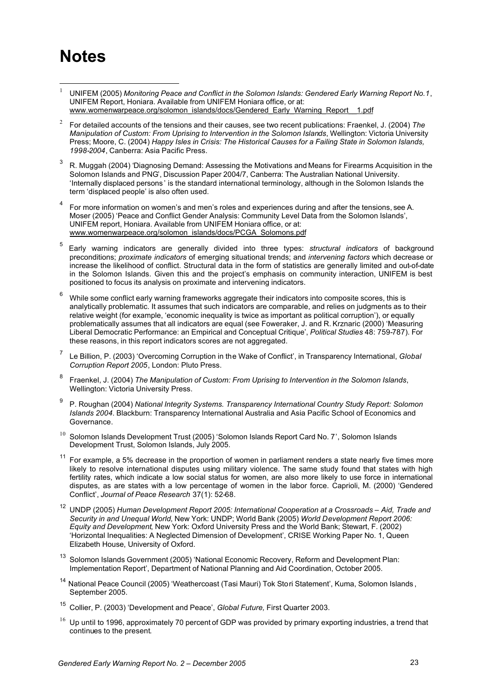# **Notes**

j

- <sup>1</sup> UNIFEM (2005) *Monitoring Peace and Conflict in the Solomon Islands: Gendered Early Warning Report No.1*, UNIFEM Report, Honiara. Available from UNIFEM Honiara office, or at: www.womenwarpeace.org/solomon\_islands/docs/Gendered\_Early\_Warning\_Report\_\_1.pdf
- 2 For detailed accounts of the tensions and their causes, see two recent publications: Fraenkel, J. (2004) *The Manipulation of Custom: From Uprising to Intervention in the Solomon Islands*, Wellington: Victoria University Press; Moore, C. (2004) *Happy Isles in Crisis: The Historical Causes for a Failing State in Solomon Islands, 1998-2004*, Canberra: Asia Pacific Press.
- 3 R. Muggah (2004) 'Diagnosing Demand: Assessing the Motivations and Means for Firearms Acquisition in the Solomon Islands and PNG', Discussion Paper 2004/7, Canberra: The Australian National University. 'Internally displaced persons ' is the standard international terminology, although in the Solomon Islands the term 'displaced people' is also often used.
- 4 For more information on women's and men's roles and experiences during and after the tensions, see A. Moser (2005) 'Peace and Conflict Gender Analysis: Community Level Data from the Solomon Islands', UNIFEM report, Honiara. Available from UNIFEM Honiara office, or at: www.womenwarpeace.org/solomon\_islands/docs/PCGA\_Solomons.pdf
- 5 Early warning indicators are generally divided into three types: *structural indicators* of background preconditions; *proximate indicators* of emerging situational trends; and *intervening factors* which decrease or increase the likelihood of conflict. Structural data in the form of statistics are generally limited and out-of-date in the Solomon Islands. Given this and the project's emphasis on community interaction, UNIFEM is best positioned to focus its analysis on proximate and intervening indicators.
- $6$  While some conflict early warning frameworks aggregate their indicators into composite scores, this is analytically problematic. It assumes that such indicators are comparable, and relies on judgments as to their relative weight (for example, 'economic inequality is twice as important as political corruption'), or equally problematically assumes that all indicators are equal (see Foweraker, J. and R. Krznaric (2000) 'Measuring Liberal Democratic Performance: an Empirical and Conceptual Critique', *Political Studies* 48: 759-787). For these reasons, in this report indicators scores are not aggregated.
- 7 Le Billion, P. (2003) 'Overcoming Corruption in the Wake of Conflict', in Transparency International, *Global Corruption Report 2005*, London: Pluto Press.
- 8 Fraenkel, J. (2004) *The Manipulation of Custom: From Uprising to Intervention in the Solomon Islands*, Wellington: Victoria University Press.
- 9 P. Roughan (2004) *National Integrity Systems. Transparency International Country Study Report: Solomon Islands 2004*. Blackburn: Transparency International Australia and Asia Pacific School of Economics and Governance.
- $10$  Solomon Islands Development Trust (2005) 'Solomon Islands Report Card No. 7', Solomon Islands Development Trust, Solomon Islands, July 2005.
- $11$  For example, a 5% decrease in the proportion of women in parliament renders a state nearly five times more likely to resolve international disputes using military violence. The same study found that states with high fertility rates, which indicate a low social status for women, are also more likely to use force in international disputes, as are states with a low percentage of women in the labor force. Caprioli, M. (2000) 'Gendered Conflict', *Journal of Peace Research* 37(1): 52-68.
- <sup>12</sup> UNDP (2005) *Human Development Report 2005: International Cooperation at a Crossroads Aid, Trade and Security in and Unequal World,* New York: UNDP; World Bank (2005) *World Development Report 2006: Equity and Development*, New York: Oxford University Press and the World Bank; Stewart, F. (2002) 'Horizontal Inequalities: A Neglected Dimension of Development', CRISE Working Paper No. 1, Queen Elizabeth House, University of Oxford.
- $13$  Solomon Islands Government (2005) 'National Economic Recovery, Reform and Development Plan: Implementation Report', Department of National Planning and Aid Coordination, October 2005.
- <sup>14</sup> National Peace Council (2005) 'Weathercoast (Tasi Mauri) Tok Stori Statement', Kuma, Solomon Islands, September 2005.
- <sup>15</sup> Collier, P. (2003) 'Development and Peace', *Global Future,* First Quarter 2003.
- $16$  Up until to 1996, approximately 70 percent of GDP was provided by primary exporting industries, a trend that continues to the present.